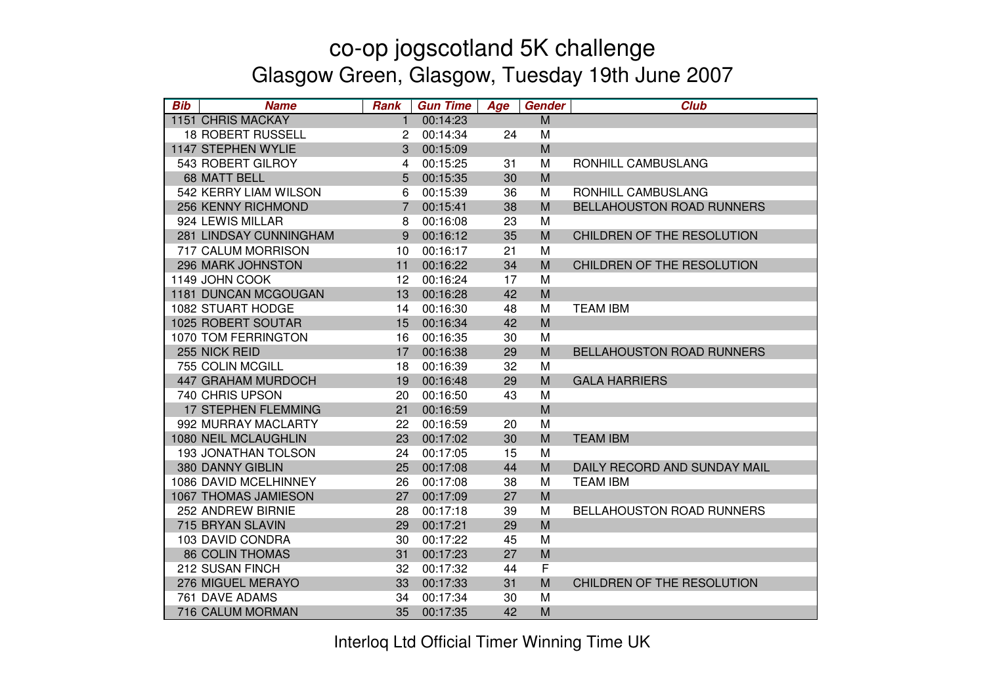| <b>Bib</b> | <b>Name</b>                | <b>Rank</b>    | <b>Gun Time</b> | Age | Gender | <b>Club</b>                      |
|------------|----------------------------|----------------|-----------------|-----|--------|----------------------------------|
|            | <b>1151 CHRIS MACKAY</b>   | $\mathbf{1}$   | 00:14:23        |     | M      |                                  |
|            | <b>18 ROBERT RUSSELL</b>   | $\overline{c}$ | 00:14:34        | 24  | M      |                                  |
|            | 1147 STEPHEN WYLIE         | 3              | 00:15:09        |     | M      |                                  |
|            | 543 ROBERT GILROY          | $\overline{4}$ | 00:15:25        | 31  | M      | RONHILL CAMBUSLANG               |
|            | 68 MATT BELL               | 5              | 00:15:35        | 30  | M      |                                  |
|            | 542 KERRY LIAM WILSON      | 6              | 00:15:39        | 36  | M      | RONHILL CAMBUSLANG               |
|            | 256 KENNY RICHMOND         | $\overline{7}$ | 00:15:41        | 38  | M      | <b>BELLAHOUSTON ROAD RUNNERS</b> |
|            | 924 LEWIS MILLAR           | 8              | 00:16:08        | 23  | M      |                                  |
|            | 281 LINDSAY CUNNINGHAM     | 9              | 00:16:12        | 35  | M      | CHILDREN OF THE RESOLUTION       |
|            | 717 CALUM MORRISON         | 10             | 00:16:17        | 21  | M      |                                  |
|            | 296 MARK JOHNSTON          | 11             | 00:16:22        | 34  | M      | CHILDREN OF THE RESOLUTION       |
|            | 1149 JOHN COOK             | 12             | 00:16:24        | 17  | M      |                                  |
|            | 1181 DUNCAN MCGOUGAN       | 13             | 00:16:28        | 42  | M      |                                  |
|            | 1082 STUART HODGE          | 14             | 00:16:30        | 48  | M      | <b>TEAM IBM</b>                  |
|            | 1025 ROBERT SOUTAR         | 15             | 00:16:34        | 42  | M      |                                  |
|            | 1070 TOM FERRINGTON        | 16             | 00:16:35        | 30  | M      |                                  |
|            | 255 NICK REID              | 17             | 00:16:38        | 29  | M      | <b>BELLAHOUSTON ROAD RUNNERS</b> |
|            | 755 COLIN MCGILL           | 18             | 00:16:39        | 32  | M      |                                  |
|            | 447 GRAHAM MURDOCH         | 19             | 00:16:48        | 29  | M      | <b>GALA HARRIERS</b>             |
|            | 740 CHRIS UPSON            | 20             | 00:16:50        | 43  | M      |                                  |
|            | <b>17 STEPHEN FLEMMING</b> | 21             | 00:16:59        |     | M      |                                  |
|            | 992 MURRAY MACLARTY        | 22             | 00:16:59        | 20  | M      |                                  |
|            | 1080 NEIL MCLAUGHLIN       | 23             | 00:17:02        | 30  | M      | <b>TEAM IBM</b>                  |
|            | <b>193 JONATHAN TOLSON</b> | 24             | 00:17:05        | 15  | M      |                                  |
|            | 380 DANNY GIBLIN           | 25             | 00:17:08        | 44  | M      | DAILY RECORD AND SUNDAY MAIL     |
|            | 1086 DAVID MCELHINNEY      | 26             | 00:17:08        | 38  | M      | <b>TEAM IBM</b>                  |
|            | 1067 THOMAS JAMIESON       | 27             | 00:17:09        | 27  | M      |                                  |
|            | 252 ANDREW BIRNIE          | 28             | 00:17:18        | 39  | M      | <b>BELLAHOUSTON ROAD RUNNERS</b> |
|            | 715 BRYAN SLAVIN           | 29             | 00:17:21        | 29  | M      |                                  |
|            | 103 DAVID CONDRA           | 30             | 00:17:22        | 45  | M      |                                  |
|            | <b>86 COLIN THOMAS</b>     | 31             | 00:17:23        | 27  | M      |                                  |
|            | 212 SUSAN FINCH            | 32             | 00:17:32        | 44  | F      |                                  |
|            | 276 MIGUEL MERAYO          | 33             | 00:17:33        | 31  | M      | CHILDREN OF THE RESOLUTION       |
|            | 761 DAVE ADAMS             | 34             | 00:17:34        | 30  | M      |                                  |
|            | 716 CALUM MORMAN           | 35             | 00:17:35        | 42  | M      |                                  |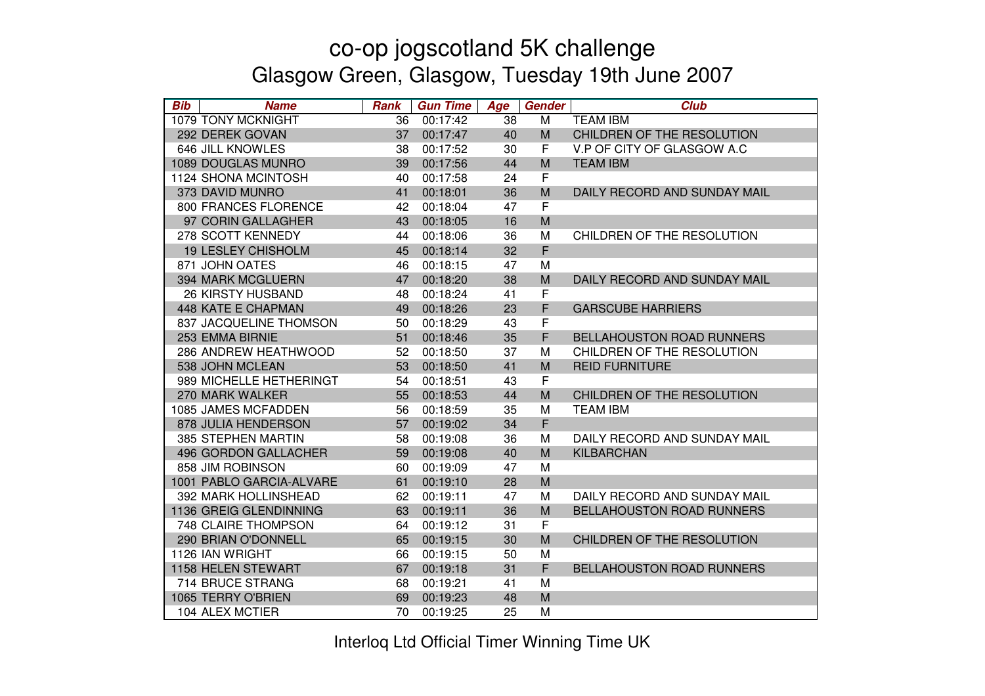| <b>Bib</b> | <b>Name</b>               | <b>Rank</b> | <b>Gun Time</b> | Age | Gender      | <b>Club</b>                      |
|------------|---------------------------|-------------|-----------------|-----|-------------|----------------------------------|
|            | 1079 TONY MCKNIGHT        | 36          | 00:17:42        | 38  | M           | <b>TEAM IBM</b>                  |
|            | 292 DEREK GOVAN           | 37          | 00:17:47        | 40  | M           | CHILDREN OF THE RESOLUTION       |
|            | 646 JILL KNOWLES          | 38          | 00:17:52        | 30  | F           | V.P OF CITY OF GLASGOW A.C       |
|            | 1089 DOUGLAS MUNRO        | 39          | 00:17:56        | 44  | M           | <b>TEAM IBM</b>                  |
|            | 1124 SHONA MCINTOSH       | 40          | 00:17:58        | 24  | $\mathsf F$ |                                  |
|            | 373 DAVID MUNRO           | 41          | 00:18:01        | 36  | M           | DAILY RECORD AND SUNDAY MAIL     |
|            | 800 FRANCES FLORENCE      | 42          | 00:18:04        | 47  | $\mathsf F$ |                                  |
|            | 97 CORIN GALLAGHER        | 43          | 00:18:05        | 16  | M           |                                  |
|            | 278 SCOTT KENNEDY         | 44          | 00:18:06        | 36  | M           | CHILDREN OF THE RESOLUTION       |
|            | <b>19 LESLEY CHISHOLM</b> | 45          | 00:18:14        | 32  | F           |                                  |
|            | 871 JOHN OATES            | 46          | 00:18:15        | 47  | M           |                                  |
|            | 394 MARK MCGLUERN         | 47          | 00:18:20        | 38  | M           | DAILY RECORD AND SUNDAY MAIL     |
|            | <b>26 KIRSTY HUSBAND</b>  | 48          | 00:18:24        | 41  | F           |                                  |
|            | <b>448 KATE E CHAPMAN</b> | 49          | 00:18:26        | 23  | F           | <b>GARSCUBE HARRIERS</b>         |
|            | 837 JACQUELINE THOMSON    | 50          | 00:18:29        | 43  | F           |                                  |
|            | 253 EMMA BIRNIE           | 51          | 00:18:46        | 35  | F           | <b>BELLAHOUSTON ROAD RUNNERS</b> |
|            | 286 ANDREW HEATHWOOD      | 52          | 00:18:50        | 37  | M           | CHILDREN OF THE RESOLUTION       |
|            | 538 JOHN MCLEAN           | 53          | 00:18:50        | 41  | M           | <b>REID FURNITURE</b>            |
|            | 989 MICHELLE HETHERINGT   | 54          | 00:18:51        | 43  | F           |                                  |
|            | 270 MARK WALKER           | 55          | 00:18:53        | 44  | M           | CHILDREN OF THE RESOLUTION       |
|            | 1085 JAMES MCFADDEN       | 56          | 00:18:59        | 35  | M           | <b>TEAM IBM</b>                  |
|            | 878 JULIA HENDERSON       | 57          | 00:19:02        | 34  | F           |                                  |
|            | 385 STEPHEN MARTIN        | 58          | 00:19:08        | 36  | M           | DAILY RECORD AND SUNDAY MAIL     |
|            | 496 GORDON GALLACHER      | 59          | 00:19:08        | 40  | M           | KILBARCHAN                       |
|            | 858 JIM ROBINSON          | 60          | 00:19:09        | 47  | M           |                                  |
|            | 1001 PABLO GARCIA-ALVARE  | 61          | 00:19:10        | 28  | M           |                                  |
|            | 392 MARK HOLLINSHEAD      | 62          | 00:19:11        | 47  | M           | DAILY RECORD AND SUNDAY MAIL     |
|            | 1136 GREIG GLENDINNING    | 63          | 00:19:11        | 36  | M           | <b>BELLAHOUSTON ROAD RUNNERS</b> |
|            | 748 CLAIRE THOMPSON       | 64          | 00:19:12        | 31  | F           |                                  |
|            | 290 BRIAN O'DONNELL       | 65          | 00:19:15        | 30  | M           | CHILDREN OF THE RESOLUTION       |
|            | 1126 IAN WRIGHT           | 66          | 00:19:15        | 50  | M           |                                  |
|            | 1158 HELEN STEWART        | 67          | 00:19:18        | 31  | F           | <b>BELLAHOUSTON ROAD RUNNERS</b> |
|            | 714 BRUCE STRANG          | 68          | 00:19:21        | 41  | M           |                                  |
|            | 1065 TERRY O'BRIEN        | 69          | 00:19:23        | 48  | M           |                                  |
|            | 104 ALEX MCTIER           | 70          | 00:19:25        | 25  | M           |                                  |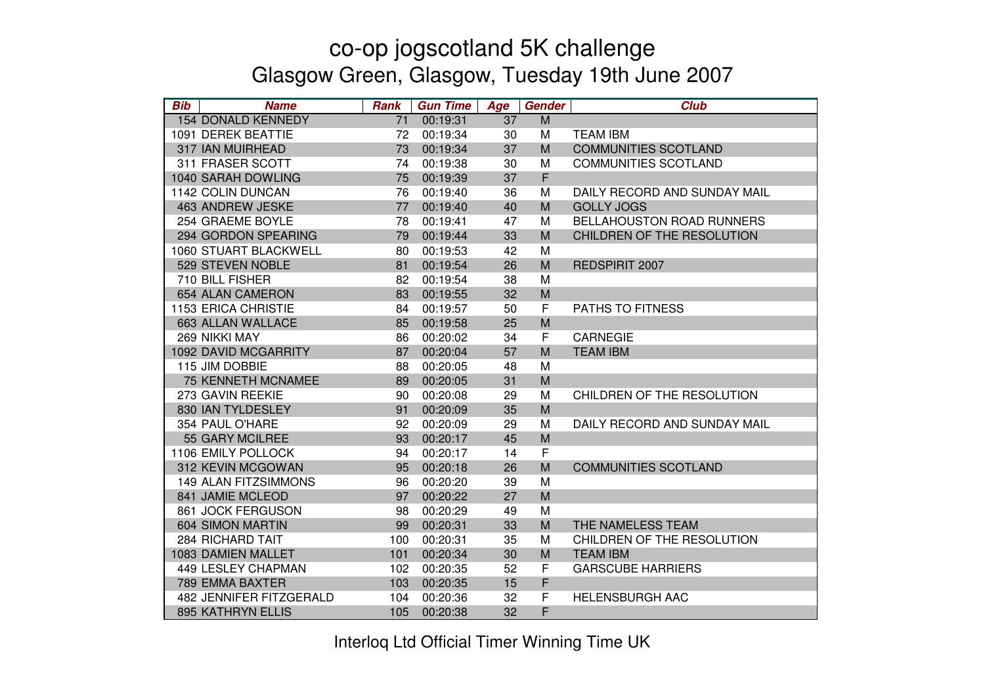| <b>Bib</b> | <b>Name</b>                 | <b>Rank</b> | <b>Gun Time</b> | Age | Gender      | <b>Club</b>                      |
|------------|-----------------------------|-------------|-----------------|-----|-------------|----------------------------------|
|            | <b>154 DONALD KENNEDY</b>   | 71          | 00:19:31        | 37  | M           |                                  |
|            | 1091 DEREK BEATTIE          | 72          | 00:19:34        | 30  | М           | <b>TEAM IBM</b>                  |
|            | 317 IAN MUIRHEAD            | 73          | 00:19:34        | 37  | M           | <b>COMMUNITIES SCOTLAND</b>      |
|            | 311 FRASER SCOTT            | 74          | 00:19:38        | 30  | M           | <b>COMMUNITIES SCOTLAND</b>      |
|            | 1040 SARAH DOWLING          | 75          | 00:19:39        | 37  | $\mathsf F$ |                                  |
|            | 1142 COLIN DUNCAN           | 76          | 00:19:40        | 36  | M           | DAILY RECORD AND SUNDAY MAIL     |
|            | 463 ANDREW JESKE            | 77          | 00:19:40        | 40  | M           | <b>GOLLY JOGS</b>                |
|            | 254 GRAEME BOYLE            | 78          | 00:19:41        | 47  | M           | <b>BELLAHOUSTON ROAD RUNNERS</b> |
|            | 294 GORDON SPEARING         | 79          | 00:19:44        | 33  | M           | CHILDREN OF THE RESOLUTION       |
|            | 1060 STUART BLACKWELL       | 80          | 00:19:53        | 42  | M           |                                  |
|            | 529 STEVEN NOBLE            | 81          | 00:19:54        | 26  | M           | <b>REDSPIRIT 2007</b>            |
|            | 710 BILL FISHER             | 82          | 00:19:54        | 38  | M           |                                  |
|            | 654 ALAN CAMERON            | 83          | 00:19:55        | 32  | M           |                                  |
|            | <b>1153 ERICA CHRISTIE</b>  | 84          | 00:19:57        | 50  | F           | PATHS TO FITNESS                 |
|            | 663 ALLAN WALLACE           | 85          | 00:19:58        | 25  | M           |                                  |
|            | 269 NIKKI MAY               | 86          | 00:20:02        | 34  | F           | <b>CARNEGIE</b>                  |
|            | 1092 DAVID MCGARRITY        | 87          | 00:20:04        | 57  | M           | <b>TEAM IBM</b>                  |
|            | 115 JIM DOBBIE              | 88          | 00:20:05        | 48  | M           |                                  |
|            | <b>75 KENNETH MCNAMEE</b>   | 89          | 00:20:05        | 31  | M           |                                  |
|            | 273 GAVIN REEKIE            | 90          | 00:20:08        | 29  | M           | CHILDREN OF THE RESOLUTION       |
|            | 830 IAN TYLDESLEY           | 91          | 00:20:09        | 35  | M           |                                  |
|            | 354 PAUL O'HARE             | 92          | 00:20:09        | 29  | M           | DAILY RECORD AND SUNDAY MAIL     |
|            | 55 GARY MCILREE             | 93          | 00:20:17        | 45  | M           |                                  |
|            | 1106 EMILY POLLOCK          | 94          | 00:20:17        | 14  | $\mathsf F$ |                                  |
|            | 312 KEVIN MCGOWAN           | 95          | 00:20:18        | 26  | M           | <b>COMMUNITIES SCOTLAND</b>      |
|            | <b>149 ALAN FITZSIMMONS</b> | 96          | 00:20:20        | 39  | M           |                                  |
|            | 841 JAMIE MCLEOD            | 97          | 00:20:22        | 27  | M           |                                  |
|            | 861 JOCK FERGUSON           | 98          | 00:20:29        | 49  | M           |                                  |
|            | 604 SIMON MARTIN            | 99          | 00:20:31        | 33  | M           | THE NAMELESS TEAM                |
|            | <b>284 RICHARD TAIT</b>     | 100         | 00:20:31        | 35  | M           | CHILDREN OF THE RESOLUTION       |
|            | 1083 DAMIEN MALLET          | 101         | 00:20:34        | 30  | M           | <b>TEAM IBM</b>                  |
|            | 449 LESLEY CHAPMAN          | 102         | 00:20:35        | 52  | F           | <b>GARSCUBE HARRIERS</b>         |
|            | 789 EMMA BAXTER             | 103         | 00:20:35        | 15  | F           |                                  |
|            | 482 JENNIFER FITZGERALD     | 104         | 00:20:36        | 32  | F           | <b>HELENSBURGH AAC</b>           |
|            | 895 KATHRYN ELLIS           | 105         | 00:20:38        | 32  | F           |                                  |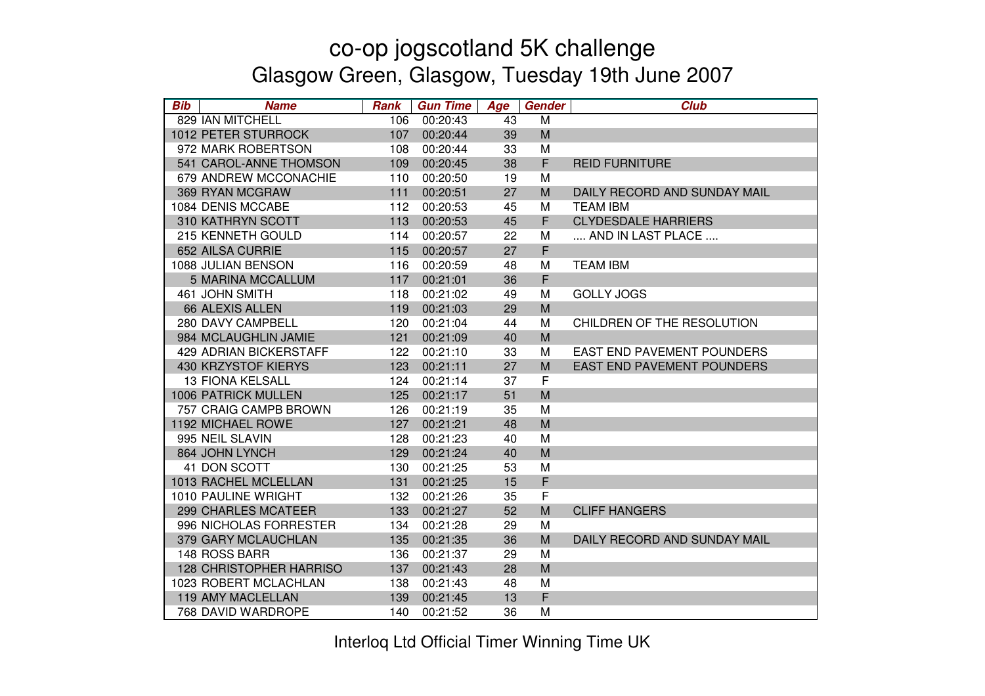| <b>Bib</b> | <b>Name</b>                    | <b>Rank</b> | <b>Gun Time</b> | Age | <b>Gender</b> | <b>Club</b>                       |
|------------|--------------------------------|-------------|-----------------|-----|---------------|-----------------------------------|
|            | 829 IAN MITCHELL               | 106         | 00:20:43        | 43  | M             |                                   |
|            | 1012 PETER STURROCK            | 107         | 00:20:44        | 39  | M             |                                   |
|            | 972 MARK ROBERTSON             | 108         | 00:20:44        | 33  | M             |                                   |
|            | 541 CAROL-ANNE THOMSON         | 109         | 00:20:45        | 38  | F             | <b>REID FURNITURE</b>             |
|            | 679 ANDREW MCCONACHIE          | 110         | 00:20:50        | 19  | M             |                                   |
|            | 369 RYAN MCGRAW                | 111         | 00:20:51        | 27  | M             | DAILY RECORD AND SUNDAY MAIL      |
|            | 1084 DENIS MCCABE              | 112         | 00:20:53        | 45  | M             | <b>TEAM IBM</b>                   |
|            | 310 KATHRYN SCOTT              | 113         | 00:20:53        | 45  | $\mathsf F$   | <b>CLYDESDALE HARRIERS</b>        |
|            | 215 KENNETH GOULD              | 114         | 00:20:57        | 22  | М             | AND IN LAST PLACE                 |
|            | 652 AILSA CURRIE               | 115         | 00:20:57        | 27  | F             |                                   |
|            | 1088 JULIAN BENSON             | 116         | 00:20:59        | 48  | M             | <b>TEAM IBM</b>                   |
|            | <b>5 MARINA MCCALLUM</b>       | 117         | 00:21:01        | 36  | $\mathsf F$   |                                   |
|            | 461 JOHN SMITH                 | 118         | 00:21:02        | 49  | M             | <b>GOLLY JOGS</b>                 |
|            | 66 ALEXIS ALLEN                | 119         | 00:21:03        | 29  | M             |                                   |
|            | 280 DAVY CAMPBELL              | 120         | 00:21:04        | 44  | M             | CHILDREN OF THE RESOLUTION        |
|            | 984 MCLAUGHLIN JAMIE           | 121         | 00:21:09        | 40  | M             |                                   |
|            | 429 ADRIAN BICKERSTAFF         | 122         | 00:21:10        | 33  | М             | <b>EAST END PAVEMENT POUNDERS</b> |
|            | 430 KRZYSTOF KIERYS            | 123         | 00:21:11        | 27  | M             | <b>EAST END PAVEMENT POUNDERS</b> |
|            | <b>13 FIONA KELSALL</b>        | 124         | 00:21:14        | 37  | F             |                                   |
|            | <b>1006 PATRICK MULLEN</b>     | 125         | 00:21:17        | 51  | M             |                                   |
|            | 757 CRAIG CAMPB BROWN          | 126         | 00:21:19        | 35  | M             |                                   |
|            | 1192 MICHAEL ROWE              | 127         | 00:21:21        | 48  | M             |                                   |
|            | 995 NEIL SLAVIN                | 128         | 00:21:23        | 40  | M             |                                   |
|            | 864 JOHN LYNCH                 | 129         | 00:21:24        | 40  | M             |                                   |
|            | 41 DON SCOTT                   | 130         | 00:21:25        | 53  | M             |                                   |
|            | 1013 RACHEL MCLELLAN           | 131         | 00:21:25        | 15  | F             |                                   |
|            | 1010 PAULINE WRIGHT            | 132         | 00:21:26        | 35  | F             |                                   |
|            | 299 CHARLES MCATEER            | 133         | 00:21:27        | 52  | M             | <b>CLIFF HANGERS</b>              |
|            | 996 NICHOLAS FORRESTER         | 134         | 00:21:28        | 29  | M             |                                   |
|            | 379 GARY MCLAUCHLAN            | 135         | 00:21:35        | 36  | M             | DAILY RECORD AND SUNDAY MAIL      |
|            | 148 ROSS BARR                  | 136         | 00:21:37        | 29  | M             |                                   |
|            | <b>128 CHRISTOPHER HARRISO</b> | 137         | 00:21:43        | 28  | M             |                                   |
|            | 1023 ROBERT MCLACHLAN          | 138         | 00:21:43        | 48  | M             |                                   |
|            | 119 AMY MACLELLAN              | 139         | 00:21:45        | 13  | F             |                                   |
|            | 768 DAVID WARDROPE             | 140         | 00:21:52        | 36  | M             |                                   |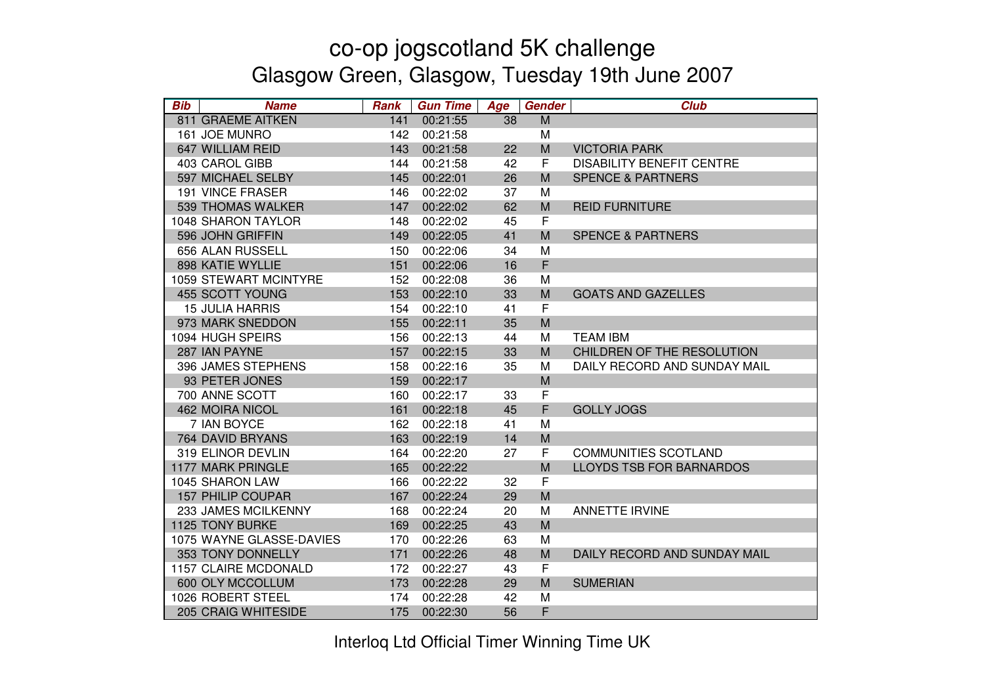| <b>Bib</b> | <b>Name</b>                  | <b>Rank</b> | <b>Gun Time</b> | Age | <b>Gender</b> | <b>Club</b>                      |
|------------|------------------------------|-------------|-----------------|-----|---------------|----------------------------------|
|            | 811 GRAEME AITKEN            | 141         | 00:21:55        | 38  | M             |                                  |
|            | 161 JOE MUNRO                | 142         | 00:21:58        |     | М             |                                  |
|            | 647 WILLIAM REID             | 143         | 00:21:58        | 22  | M             | <b>VICTORIA PARK</b>             |
|            | 403 CAROL GIBB               | 144         | 00:21:58        | 42  | F             | <b>DISABILITY BENEFIT CENTRE</b> |
|            | 597 MICHAEL SELBY            | 145         | 00:22:01        | 26  | M             | <b>SPENCE &amp; PARTNERS</b>     |
|            | <b>191 VINCE FRASER</b>      | 146         | 00:22:02        | 37  | М             |                                  |
|            | 539 THOMAS WALKER            | 147         | 00:22:02        | 62  | M             | <b>REID FURNITURE</b>            |
|            | 1048 SHARON TAYLOR           | 148         | 00:22:02        | 45  | $\mathsf F$   |                                  |
|            | 596 JOHN GRIFFIN             | 149         | 00:22:05        | 41  | M             | <b>SPENCE &amp; PARTNERS</b>     |
|            | 656 ALAN RUSSELL             | 150         | 00:22:06        | 34  | M             |                                  |
|            | 898 KATIE WYLLIE             | 151         | 00:22:06        | 16  | F             |                                  |
|            | <b>1059 STEWART MCINTYRE</b> | 152         | 00:22:08        | 36  | M             |                                  |
|            | 455 SCOTT YOUNG              | 153         | 00:22:10        | 33  | M             | <b>GOATS AND GAZELLES</b>        |
|            | <b>15 JULIA HARRIS</b>       | 154         | 00:22:10        | 41  | F             |                                  |
|            | 973 MARK SNEDDON             | 155         | 00:22:11        | 35  | M             |                                  |
|            | 1094 HUGH SPEIRS             | 156         | 00:22:13        | 44  | M             | <b>TEAM IBM</b>                  |
|            | 287 IAN PAYNE                | 157         | 00:22:15        | 33  | M             | CHILDREN OF THE RESOLUTION       |
|            | 396 JAMES STEPHENS           | 158         | 00:22:16        | 35  | M             | DAILY RECORD AND SUNDAY MAIL     |
|            | 93 PETER JONES               | 159         | 00:22:17        |     | M             |                                  |
|            | 700 ANNE SCOTT               | 160         | 00:22:17        | 33  | F             |                                  |
|            | <b>462 MOIRA NICOL</b>       | 161         | 00:22:18        | 45  | F             | <b>GOLLY JOGS</b>                |
|            | 7 IAN BOYCE                  | 162         | 00:22:18        | 41  | M             |                                  |
|            | 764 DAVID BRYANS             | 163         | 00:22:19        | 14  | M             |                                  |
|            | 319 ELINOR DEVLIN            | 164         | 00:22:20        | 27  | $\mathsf F$   | <b>COMMUNITIES SCOTLAND</b>      |
|            | <b>1177 MARK PRINGLE</b>     | 165         | 00:22:22        |     | M             | <b>LLOYDS TSB FOR BARNARDOS</b>  |
|            | 1045 SHARON LAW              | 166         | 00:22:22        | 32  | F             |                                  |
|            | <b>157 PHILIP COUPAR</b>     | 167         | 00:22:24        | 29  | M             |                                  |
|            | 233 JAMES MCILKENNY          | 168         | 00:22:24        | 20  | M             | <b>ANNETTE IRVINE</b>            |
|            | 1125 TONY BURKE              | 169         | 00:22:25        | 43  | M             |                                  |
|            | 1075 WAYNE GLASSE-DAVIES     | 170         | 00:22:26        | 63  | M             |                                  |
|            | 353 TONY DONNELLY            | 171         | 00:22:26        | 48  | M             | DAILY RECORD AND SUNDAY MAIL     |
|            | 1157 CLAIRE MCDONALD         | 172         | 00:22:27        | 43  | F             |                                  |
|            | 600 OLY MCCOLLUM             | 173         | 00:22:28        | 29  | M             | <b>SUMERIAN</b>                  |
|            | 1026 ROBERT STEEL            | 174         | 00:22:28        | 42  | M             |                                  |
|            | 205 CRAIG WHITESIDE          | 175         | 00:22:30        | 56  | F             |                                  |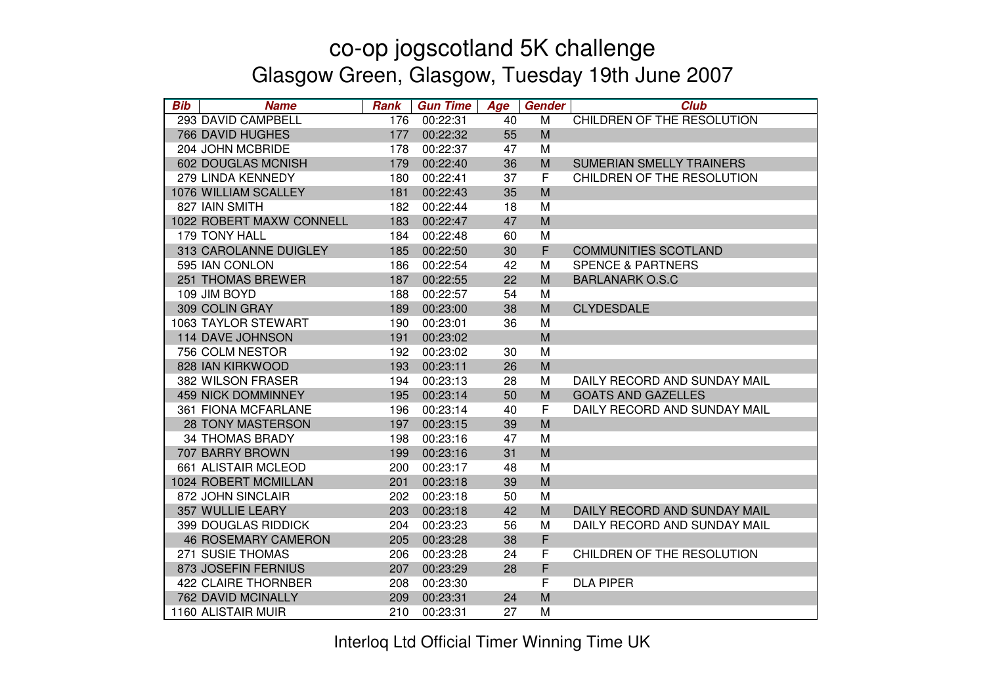| <b>Bib</b> | <b>Name</b>                | <b>Rank</b> | <b>Gun Time</b> | Age | <b>Gender</b> | <b>Club</b>                  |
|------------|----------------------------|-------------|-----------------|-----|---------------|------------------------------|
|            | 293 DAVID CAMPBELL         | 176         | 00:22:31        | 40  | M             | CHILDREN OF THE RESOLUTION   |
|            | <b>766 DAVID HUGHES</b>    | 177         | 00:22:32        | 55  | M             |                              |
|            | 204 JOHN MCBRIDE           | 178         | 00:22:37        | 47  | M             |                              |
|            | 602 DOUGLAS MCNISH         | 179         | 00:22:40        | 36  | M             | SUMERIAN SMELLY TRAINERS     |
|            | 279 LINDA KENNEDY          | 180         | 00:22:41        | 37  | F             | CHILDREN OF THE RESOLUTION   |
|            | 1076 WILLIAM SCALLEY       | 181         | 00:22:43        | 35  | M             |                              |
|            | 827 IAIN SMITH             | 182         | 00:22:44        | 18  | M             |                              |
|            | 1022 ROBERT MAXW CONNELL   | 183         | 00:22:47        | 47  | M             |                              |
|            | <b>179 TONY HALL</b>       | 184         | 00:22:48        | 60  | М             |                              |
|            | 313 CAROLANNE DUIGLEY      | 185         | 00:22:50        | 30  | F             | <b>COMMUNITIES SCOTLAND</b>  |
|            | 595 IAN CONLON             | 186         | 00:22:54        | 42  | M             | <b>SPENCE &amp; PARTNERS</b> |
|            | 251 THOMAS BREWER          | 187         | 00:22:55        | 22  | M             | <b>BARLANARK O.S.C</b>       |
|            | 109 JIM BOYD               | 188         | 00:22:57        | 54  | M             |                              |
|            | 309 COLIN GRAY             | 189         | 00:23:00        | 38  | M             | <b>CLYDESDALE</b>            |
|            | 1063 TAYLOR STEWART        | 190         | 00:23:01        | 36  | M             |                              |
|            | 114 DAVE JOHNSON           | 191         | 00:23:02        |     | M             |                              |
|            | 756 COLM NESTOR            | 192         | 00:23:02        | 30  | M             |                              |
|            | 828 IAN KIRKWOOD           | 193         | 00:23:11        | 26  | M             |                              |
|            | 382 WILSON FRASER          | 194         | 00:23:13        | 28  | М             | DAILY RECORD AND SUNDAY MAIL |
|            | <b>459 NICK DOMMINNEY</b>  | 195         | 00:23:14        | 50  | M             | <b>GOATS AND GAZELLES</b>    |
|            | 361 FIONA MCFARLANE        | 196         | 00:23:14        | 40  | F             | DAILY RECORD AND SUNDAY MAIL |
|            | <b>28 TONY MASTERSON</b>   | 197         | 00:23:15        | 39  | M             |                              |
|            | <b>34 THOMAS BRADY</b>     | 198         | 00:23:16        | 47  | M             |                              |
|            | 707 BARRY BROWN            | 199         | 00:23:16        | 31  | M             |                              |
|            | 661 ALISTAIR MCLEOD        | 200         | 00:23:17        | 48  | M             |                              |
|            | 1024 ROBERT MCMILLAN       | 201         | 00:23:18        | 39  | M             |                              |
|            | 872 JOHN SINCLAIR          | 202         | 00:23:18        | 50  | M             |                              |
|            | 357 WULLIE LEARY           | 203         | 00:23:18        | 42  | M             | DAILY RECORD AND SUNDAY MAIL |
|            | <b>399 DOUGLAS RIDDICK</b> | 204         | 00:23:23        | 56  | M             | DAILY RECORD AND SUNDAY MAIL |
|            | <b>46 ROSEMARY CAMERON</b> | 205         | 00:23:28        | 38  | F             |                              |
|            | 271 SUSIE THOMAS           | 206         | 00:23:28        | 24  | F             | CHILDREN OF THE RESOLUTION   |
|            | 873 JOSEFIN FERNIUS        | 207         | 00:23:29        | 28  | F             |                              |
|            | 422 CLAIRE THORNBER        | 208         | 00:23:30        |     | F             | <b>DLA PIPER</b>             |
|            | <b>762 DAVID MCINALLY</b>  | 209         | 00:23:31        | 24  | M             |                              |
|            | 1160 ALISTAIR MUIR         | 210         | 00:23:31        | 27  | М             |                              |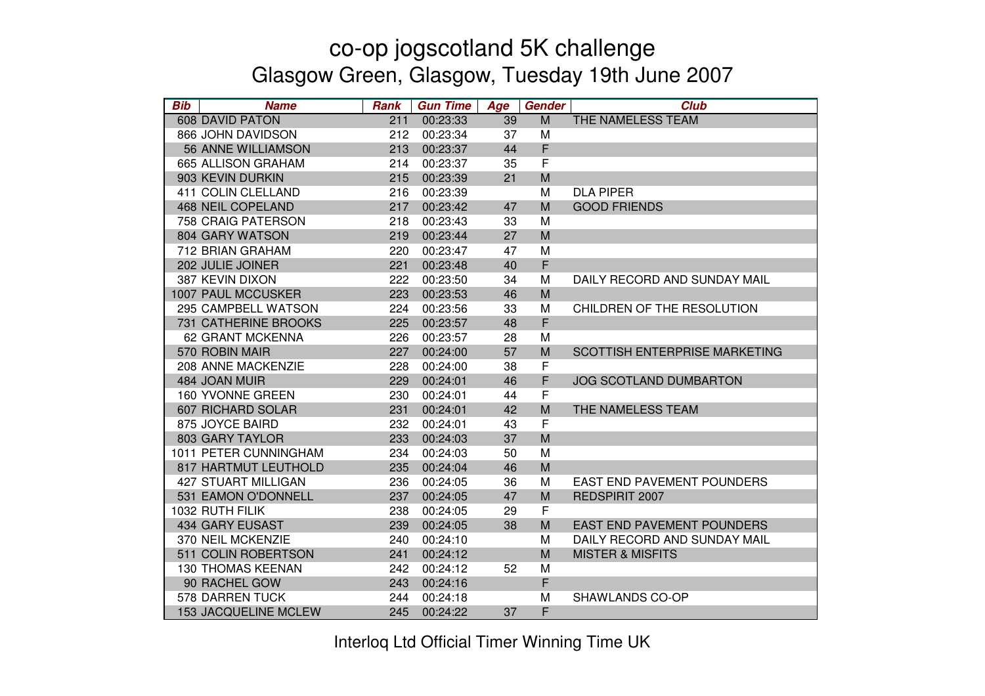| <b>Bib</b> | <b>Name</b>                | <b>Rank</b> | <b>Gun Time</b> | Age | <b>Gender</b> | <b>Club</b>                       |
|------------|----------------------------|-------------|-----------------|-----|---------------|-----------------------------------|
|            | <b>608 DAVID PATON</b>     | 211         | 00:23:33        | 39  | M             | THE NAMELESS TEAM                 |
|            | 866 JOHN DAVIDSON          | 212         | 00:23:34        | 37  | M             |                                   |
|            | <b>56 ANNE WILLIAMSON</b>  | 213         | 00:23:37        | 44  | F             |                                   |
|            | 665 ALLISON GRAHAM         | 214         | 00:23:37        | 35  | F             |                                   |
|            | 903 KEVIN DURKIN           | 215         | 00:23:39        | 21  | M             |                                   |
|            | 411 COLIN CLELLAND         | 216         | 00:23:39        |     | M             | <b>DLA PIPER</b>                  |
|            | <b>468 NEIL COPELAND</b>   | 217         | 00:23:42        | 47  | M             | <b>GOOD FRIENDS</b>               |
|            | 758 CRAIG PATERSON         | 218         | 00:23:43        | 33  | M             |                                   |
|            | 804 GARY WATSON            | 219         | 00:23:44        | 27  | M             |                                   |
|            | 712 BRIAN GRAHAM           | 220         | 00:23:47        | 47  | M             |                                   |
|            | 202 JULIE JOINER           | 221         | 00:23:48        | 40  | F             |                                   |
|            | 387 KEVIN DIXON            | 222         | 00:23:50        | 34  | M             | DAILY RECORD AND SUNDAY MAIL      |
|            | <b>1007 PAUL MCCUSKER</b>  | 223         | 00:23:53        | 46  | M             |                                   |
|            | 295 CAMPBELL WATSON        | 224         | 00:23:56        | 33  | M             | CHILDREN OF THE RESOLUTION        |
|            | 731 CATHERINE BROOKS       | 225         | 00:23:57        | 48  | F             |                                   |
|            | 62 GRANT MCKENNA           | 226         | 00:23:57        | 28  | M             |                                   |
|            | 570 ROBIN MAIR             | 227         | 00:24:00        | 57  | M             | SCOTTISH ENTERPRISE MARKETING     |
|            | 208 ANNE MACKENZIE         | 228         | 00:24:00        | 38  | F             |                                   |
|            | 484 JOAN MUIR              | 229         | 00:24:01        | 46  | F             | <b>JOG SCOTLAND DUMBARTON</b>     |
|            | 160 YVONNE GREEN           | 230         | 00:24:01        | 44  | F             |                                   |
|            | 607 RICHARD SOLAR          | 231         | 00:24:01        | 42  | M             | THE NAMELESS TEAM                 |
|            | 875 JOYCE BAIRD            | 232         | 00:24:01        | 43  | $\mathsf F$   |                                   |
|            | 803 GARY TAYLOR            | 233         | 00:24:03        | 37  | M             |                                   |
|            | 1011 PETER CUNNINGHAM      | 234         | 00:24:03        | 50  | M             |                                   |
|            | 817 HARTMUT LEUTHOLD       | 235         | 00:24:04        | 46  | M             |                                   |
|            | <b>427 STUART MILLIGAN</b> | 236         | 00:24:05        | 36  | M             | <b>EAST END PAVEMENT POUNDERS</b> |
|            | 531 EAMON O'DONNELL        | 237         | 00:24:05        | 47  | M             | REDSPIRIT 2007                    |
|            | 1032 RUTH FILIK            | 238         | 00:24:05        | 29  | $\mathsf{F}$  |                                   |
|            | 434 GARY EUSAST            | 239         | 00:24:05        | 38  | M             | <b>EAST END PAVEMENT POUNDERS</b> |
|            | 370 NEIL MCKENZIE          | 240         | 00:24:10        |     | M             | DAILY RECORD AND SUNDAY MAIL      |
|            | 511 COLIN ROBERTSON        | 241         | 00:24:12        |     | M             | <b>MISTER &amp; MISFITS</b>       |
|            | <b>130 THOMAS KEENAN</b>   | 242         | 00:24:12        | 52  | M             |                                   |
|            | 90 RACHEL GOW              | 243         | 00:24:16        |     | F             |                                   |
|            | 578 DARREN TUCK            | 244         | 00:24:18        |     | M             | SHAWLANDS CO-OP                   |
|            | 153 JACQUELINE MCLEW       | 245         | 00:24:22        | 37  | F             |                                   |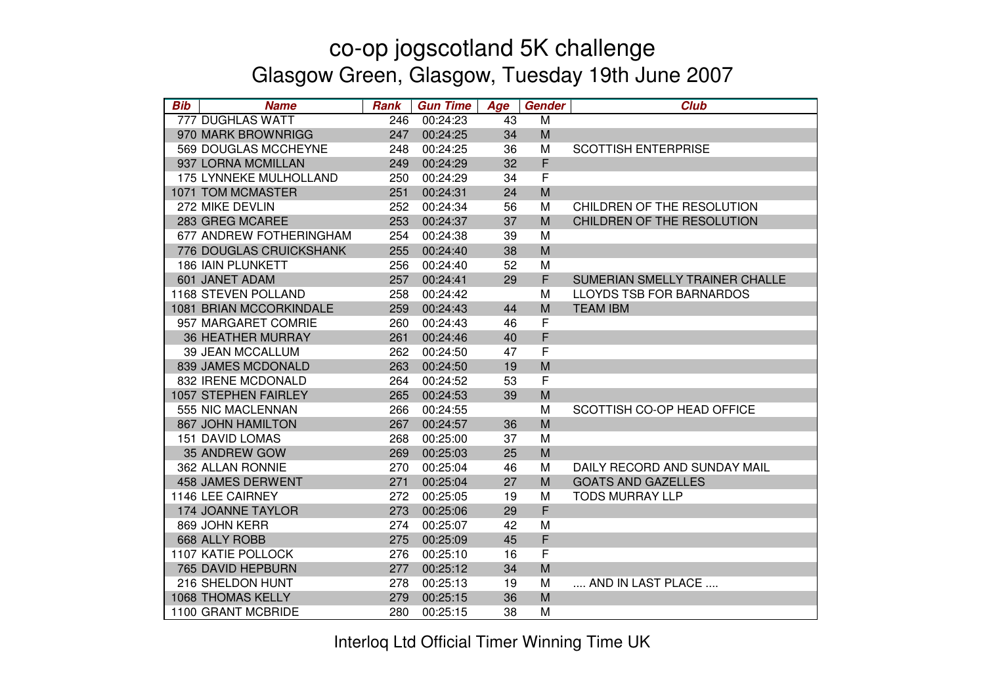| <b>Bib</b> | <b>Name</b>              | <b>Rank</b> | <b>Gun Time</b> | Age | Gender      | <b>Club</b>                     |
|------------|--------------------------|-------------|-----------------|-----|-------------|---------------------------------|
|            | 777 DUGHLAS WATT         | 246         | 00:24:23        | 43  | M           |                                 |
|            | 970 MARK BROWNRIGG       | 247         | 00:24:25        | 34  | M           |                                 |
|            | 569 DOUGLAS MCCHEYNE     | 248         | 00:24:25        | 36  | M           | <b>SCOTTISH ENTERPRISE</b>      |
|            | 937 LORNA MCMILLAN       | 249         | 00:24:29        | 32  | F           |                                 |
|            | 175 LYNNEKE MULHOLLAND   | 250         | 00:24:29        | 34  | $\mathsf F$ |                                 |
|            | 1071 TOM MCMASTER        | 251         | 00:24:31        | 24  | M           |                                 |
|            | 272 MIKE DEVLIN          | 252         | 00:24:34        | 56  | M           | CHILDREN OF THE RESOLUTION      |
|            | 283 GREG MCAREE          | 253         | 00:24:37        | 37  | M           | CHILDREN OF THE RESOLUTION      |
|            | 677 ANDREW FOTHERINGHAM  | 254         | 00:24:38        | 39  | M           |                                 |
|            | 776 DOUGLAS CRUICKSHANK  | 255         | 00:24:40        | 38  | M           |                                 |
|            | <b>186 IAIN PLUNKETT</b> | 256         | 00:24:40        | 52  | M           |                                 |
|            | 601 JANET ADAM           | 257         | 00:24:41        | 29  | F           | SUMERIAN SMELLY TRAINER CHALLE  |
|            | 1168 STEVEN POLLAND      | 258         | 00:24:42        |     | M           | <b>LLOYDS TSB FOR BARNARDOS</b> |
|            | 1081 BRIAN MCCORKINDALE  | 259         | 00:24:43        | 44  | M           | <b>TEAM IBM</b>                 |
|            | 957 MARGARET COMRIE      | 260         | 00:24:43        | 46  | F           |                                 |
|            | <b>36 HEATHER MURRAY</b> | 261         | 00:24:46        | 40  | F           |                                 |
|            | <b>39 JEAN MCCALLUM</b>  | 262         | 00:24:50        | 47  | F           |                                 |
|            | 839 JAMES MCDONALD       | 263         | 00:24:50        | 19  | M           |                                 |
|            | 832 IRENE MCDONALD       | 264         | 00:24:52        | 53  | $\mathsf F$ |                                 |
|            | 1057 STEPHEN FAIRLEY     | 265         | 00:24:53        | 39  | M           |                                 |
|            | 555 NIC MACLENNAN        | 266         | 00:24:55        |     | M           | SCOTTISH CO-OP HEAD OFFICE      |
|            | <b>867 JOHN HAMILTON</b> | 267         | 00:24:57        | 36  | M           |                                 |
|            | <b>151 DAVID LOMAS</b>   | 268         | 00:25:00        | 37  | M           |                                 |
|            | 35 ANDREW GOW            | 269         | 00:25:03        | 25  | M           |                                 |
|            | 362 ALLAN RONNIE         | 270         | 00:25:04        | 46  | M           | DAILY RECORD AND SUNDAY MAIL    |
|            | <b>458 JAMES DERWENT</b> | 271         | 00:25:04        | 27  | M           | <b>GOATS AND GAZELLES</b>       |
|            | 1146 LEE CAIRNEY         | 272         | 00:25:05        | 19  | M           | <b>TODS MURRAY LLP</b>          |
|            | 174 JOANNE TAYLOR        | 273         | 00:25:06        | 29  | F           |                                 |
|            | 869 JOHN KERR            | 274         | 00:25:07        | 42  | M           |                                 |
|            | 668 ALLY ROBB            | 275         | 00:25:09        | 45  | F           |                                 |
|            | 1107 KATIE POLLOCK       | 276         | 00:25:10        | 16  | $\mathsf F$ |                                 |
|            | 765 DAVID HEPBURN        | 277         | 00:25:12        | 34  | M           |                                 |
|            | 216 SHELDON HUNT         | 278         | 00:25:13        | 19  | M           | AND IN LAST PLACE               |
|            | <b>1068 THOMAS KELLY</b> | 279         | 00:25:15        | 36  | M           |                                 |
|            | 1100 GRANT MCBRIDE       | 280         | 00:25:15        | 38  | M           |                                 |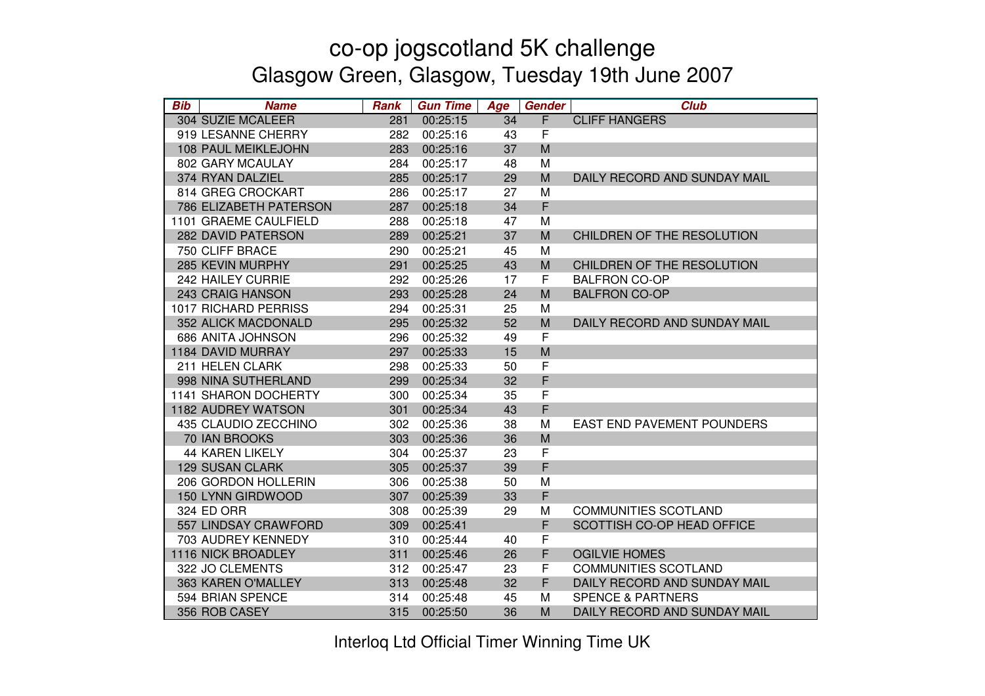| <b>Bib</b> | <b>Name</b>            | <b>Rank</b> | <b>Gun Time</b> | Age | <b>Gender</b>  | <b>Club</b>                       |
|------------|------------------------|-------------|-----------------|-----|----------------|-----------------------------------|
|            | 304 SUZIE MCALEER      | 281         | 00:25:15        | 34  | $\overline{F}$ | <b>CLIFF HANGERS</b>              |
|            | 919 LESANNE CHERRY     | 282         | 00:25:16        | 43  | F              |                                   |
|            | 108 PAUL MEIKLEJOHN    | 283         | 00:25:16        | 37  | M              |                                   |
|            | 802 GARY MCAULAY       | 284         | 00:25:17        | 48  | M              |                                   |
|            | 374 RYAN DALZIEL       | 285         | 00:25:17        | 29  | M              | DAILY RECORD AND SUNDAY MAIL      |
|            | 814 GREG CROCKART      | 286         | 00:25:17        | 27  | M              |                                   |
|            | 786 ELIZABETH PATERSON | 287         | 00:25:18        | 34  | F              |                                   |
|            | 1101 GRAEME CAULFIELD  | 288         | 00:25:18        | 47  | М              |                                   |
|            | 282 DAVID PATERSON     | 289         | 00:25:21        | 37  | M              | CHILDREN OF THE RESOLUTION        |
|            | 750 CLIFF BRACE        | 290         | 00:25:21        | 45  | М              |                                   |
|            | 285 KEVIN MURPHY       | 291         | 00:25:25        | 43  | M              | CHILDREN OF THE RESOLUTION        |
|            | 242 HAILEY CURRIE      | 292         | 00:25:26        | 17  | F              | <b>BALFRON CO-OP</b>              |
|            | 243 CRAIG HANSON       | 293         | 00:25:28        | 24  | M              | <b>BALFRON CO-OP</b>              |
|            | 1017 RICHARD PERRISS   | 294         | 00:25:31        | 25  | M              |                                   |
|            | 352 ALICK MACDONALD    | 295         | 00:25:32        | 52  | M              | DAILY RECORD AND SUNDAY MAIL      |
|            | 686 ANITA JOHNSON      | 296         | 00:25:32        | 49  | F              |                                   |
|            | 1184 DAVID MURRAY      | 297         | 00:25:33        | 15  | M              |                                   |
|            | 211 HELEN CLARK        | 298         | 00:25:33        | 50  | F              |                                   |
|            | 998 NINA SUTHERLAND    | 299         | 00:25:34        | 32  | F              |                                   |
|            | 1141 SHARON DOCHERTY   | 300         | 00:25:34        | 35  | $\mathsf F$    |                                   |
|            | 1182 AUDREY WATSON     | 301         | 00:25:34        | 43  | $\mathsf F$    |                                   |
|            | 435 CLAUDIO ZECCHINO   | 302         | 00:25:36        | 38  | M              | <b>EAST END PAVEMENT POUNDERS</b> |
|            | 70 IAN BROOKS          | 303         | 00:25:36        | 36  | M              |                                   |
|            | <b>44 KAREN LIKELY</b> | 304         | 00:25:37        | 23  | $\mathsf F$    |                                   |
|            | <b>129 SUSAN CLARK</b> | 305         | 00:25:37        | 39  | F              |                                   |
|            | 206 GORDON HOLLERIN    | 306         | 00:25:38        | 50  | M              |                                   |
|            | 150 LYNN GIRDWOOD      | 307         | 00:25:39        | 33  | F              |                                   |
|            | 324 ED ORR             | 308         | 00:25:39        | 29  | M              | <b>COMMUNITIES SCOTLAND</b>       |
|            | 557 LINDSAY CRAWFORD   | 309         | 00:25:41        |     | F              | SCOTTISH CO-OP HEAD OFFICE        |
|            | 703 AUDREY KENNEDY     | 310         | 00:25:44        | 40  | F              |                                   |
|            | 1116 NICK BROADLEY     | 311         | 00:25:46        | 26  | F              | <b>OGILVIE HOMES</b>              |
|            | 322 JO CLEMENTS        | 312         | 00:25:47        | 23  | F              | <b>COMMUNITIES SCOTLAND</b>       |
|            | 363 KAREN O'MALLEY     | 313         | 00:25:48        | 32  | F              | DAILY RECORD AND SUNDAY MAIL      |
|            | 594 BRIAN SPENCE       | 314         | 00:25:48        | 45  | М              | <b>SPENCE &amp; PARTNERS</b>      |
|            | 356 ROB CASEY          | 315         | 00:25:50        | 36  | M              | DAILY RECORD AND SUNDAY MAIL      |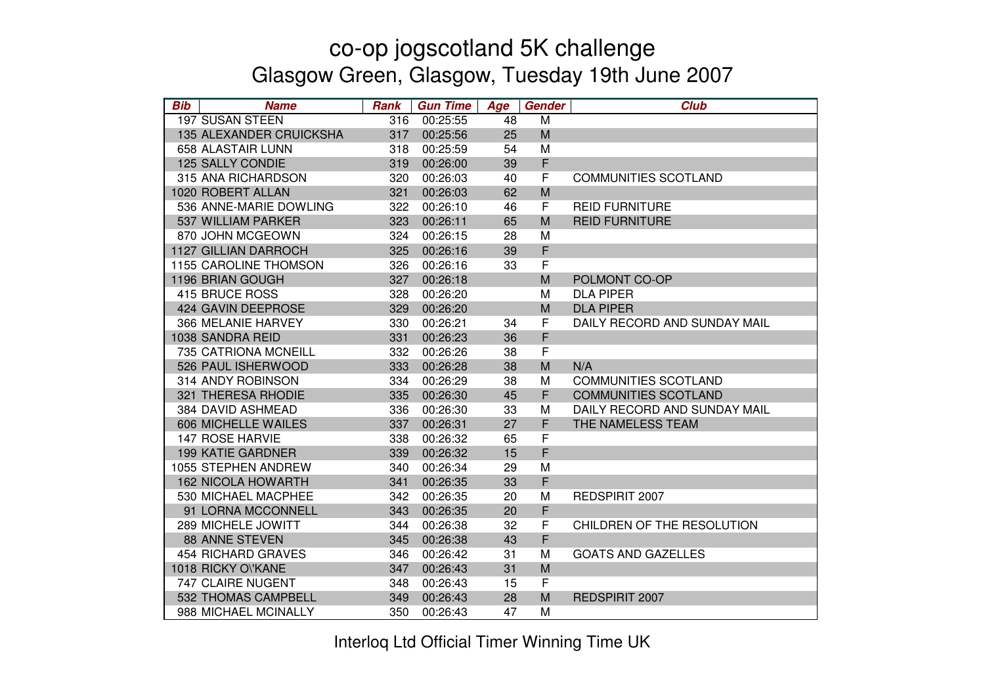| <b>Bib</b> | <b>Name</b>                  | <b>Rank</b> | <b>Gun Time</b> | Age | Gender | <b>Club</b>                  |
|------------|------------------------------|-------------|-----------------|-----|--------|------------------------------|
|            | 197 SUSAN STEEN              | 316         | 00:25:55        | 48  | M      |                              |
|            | 135 ALEXANDER CRUICKSHA      | 317         | 00:25:56        | 25  | M      |                              |
|            | 658 ALASTAIR LUNN            | 318         | 00:25:59        | 54  | M      |                              |
|            | 125 SALLY CONDIE             | 319         | 00:26:00        | 39  | F      |                              |
|            | 315 ANA RICHARDSON           | 320         | 00:26:03        | 40  | F      | <b>COMMUNITIES SCOTLAND</b>  |
|            | 1020 ROBERT ALLAN            | 321         | 00:26:03        | 62  | M      |                              |
|            | 536 ANNE-MARIE DOWLING       | 322         | 00:26:10        | 46  | F      | <b>REID FURNITURE</b>        |
|            | 537 WILLIAM PARKER           | 323         | 00:26:11        | 65  | M      | <b>REID FURNITURE</b>        |
|            | 870 JOHN MCGEOWN             | 324         | 00:26:15        | 28  | M      |                              |
|            | 1127 GILLIAN DARROCH         | 325         | 00:26:16        | 39  | F      |                              |
|            | <b>1155 CAROLINE THOMSON</b> | 326         | 00:26:16        | 33  | F      |                              |
|            | 1196 BRIAN GOUGH             | 327         | 00:26:18        |     | M      | POLMONT CO-OP                |
|            | 415 BRUCE ROSS               | 328         | 00:26:20        |     | M      | <b>DLA PIPER</b>             |
|            | 424 GAVIN DEEPROSE           | 329         | 00:26:20        |     | M      | <b>DLA PIPER</b>             |
|            | 366 MELANIE HARVEY           | 330         | 00:26:21        | 34  | F      | DAILY RECORD AND SUNDAY MAIL |
|            | 1038 SANDRA REID             | 331         | 00:26:23        | 36  | F      |                              |
|            | 735 CATRIONA MCNEILL         | 332         | 00:26:26        | 38  | F      |                              |
|            | 526 PAUL ISHERWOOD           | 333         | 00:26:28        | 38  | M      | N/A                          |
|            | 314 ANDY ROBINSON            | 334         | 00:26:29        | 38  | M      | <b>COMMUNITIES SCOTLAND</b>  |
|            | 321 THERESA RHODIE           | 335         | 00:26:30        | 45  | F      | <b>COMMUNITIES SCOTLAND</b>  |
|            | 384 DAVID ASHMEAD            | 336         | 00:26:30        | 33  | M      | DAILY RECORD AND SUNDAY MAIL |
|            | 606 MICHELLE WAILES          | 337         | 00:26:31        | 27  | F      | THE NAMELESS TEAM            |
|            | 147 ROSE HARVIE              | 338         | 00:26:32        | 65  | F      |                              |
|            | <b>199 KATIE GARDNER</b>     | 339         | 00:26:32        | 15  | F      |                              |
|            | 1055 STEPHEN ANDREW          | 340         | 00:26:34        | 29  | M      |                              |
|            | <b>162 NICOLA HOWARTH</b>    | 341         | 00:26:35        | 33  | F      |                              |
|            | 530 MICHAEL MACPHEE          | 342         | 00:26:35        | 20  | M      | REDSPIRIT 2007               |
|            | 91 LORNA MCCONNELL           | 343         | 00:26:35        | 20  | F      |                              |
|            | 289 MICHELE JOWITT           | 344         | 00:26:38        | 32  | F      | CHILDREN OF THE RESOLUTION   |
|            | <b>88 ANNE STEVEN</b>        | 345         | 00:26:38        | 43  | F      |                              |
|            | <b>454 RICHARD GRAVES</b>    | 346         | 00:26:42        | 31  | M      | <b>GOATS AND GAZELLES</b>    |
|            | 1018 RICKY OVKANE            | 347         | 00:26:43        | 31  | M      |                              |
|            | 747 CLAIRE NUGENT            | 348         | 00:26:43        | 15  | F      |                              |
|            | 532 THOMAS CAMPBELL          | 349         | 00:26:43        | 28  | M      | REDSPIRIT 2007               |
|            | 988 MICHAEL MCINALLY         | 350         | 00:26:43        | 47  | M      |                              |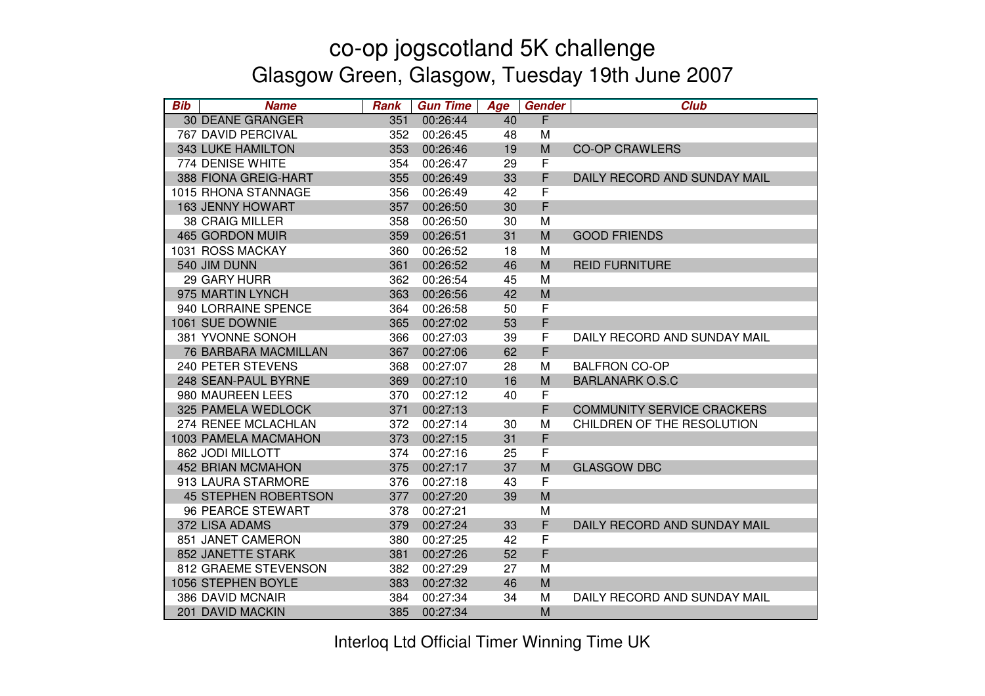| <b>Bib</b> | <b>Name</b>                 | <b>Rank</b> | <b>Gun Time</b> | Age | Gender      | <b>Club</b>                       |
|------------|-----------------------------|-------------|-----------------|-----|-------------|-----------------------------------|
|            | <b>30 DEANE GRANGER</b>     | 351         | 00:26:44        | 40  | F           |                                   |
|            | <b>767 DAVID PERCIVAL</b>   | 352         | 00:26:45        | 48  | M           |                                   |
|            | 343 LUKE HAMILTON           | 353         | 00:26:46        | 19  | M           | <b>CO-OP CRAWLERS</b>             |
|            | 774 DENISE WHITE            | 354         | 00:26:47        | 29  | F           |                                   |
|            | 388 FIONA GREIG-HART        | 355         | 00:26:49        | 33  | F           | DAILY RECORD AND SUNDAY MAIL      |
|            | 1015 RHONA STANNAGE         | 356         | 00:26:49        | 42  | F           |                                   |
|            | 163 JENNY HOWART            | 357         | 00:26:50        | 30  | F           |                                   |
|            | <b>38 CRAIG MILLER</b>      | 358         | 00:26:50        | 30  | М           |                                   |
|            | <b>465 GORDON MUIR</b>      | 359         | 00:26:51        | 31  | M           | <b>GOOD FRIENDS</b>               |
|            | 1031 ROSS MACKAY            | 360         | 00:26:52        | 18  | M           |                                   |
|            | 540 JIM DUNN                | 361         | 00:26:52        | 46  | M           | <b>REID FURNITURE</b>             |
|            | 29 GARY HURR                | 362         | 00:26:54        | 45  | M           |                                   |
|            | 975 MARTIN LYNCH            | 363         | 00:26:56        | 42  | M           |                                   |
|            | 940 LORRAINE SPENCE         | 364         | 00:26:58        | 50  | F           |                                   |
|            | 1061 SUE DOWNIE             | 365         | 00:27:02        | 53  | F           |                                   |
|            | 381 YVONNE SONOH            | 366         | 00:27:03        | 39  | F           | DAILY RECORD AND SUNDAY MAIL      |
|            | 76 BARBARA MACMILLAN        | 367         | 00:27:06        | 62  | F           |                                   |
|            | 240 PETER STEVENS           | 368         | 00:27:07        | 28  | М           | <b>BALFRON CO-OP</b>              |
|            | 248 SEAN-PAUL BYRNE         | 369         | 00:27:10        | 16  | M           | <b>BARLANARK O.S.C</b>            |
|            | 980 MAUREEN LEES            | 370         | 00:27:12        | 40  | F           |                                   |
|            | 325 PAMELA WEDLOCK          | 371         | 00:27:13        |     | F           | <b>COMMUNITY SERVICE CRACKERS</b> |
|            | 274 RENEE MCLACHLAN         | 372         | 00:27:14        | 30  | M           | CHILDREN OF THE RESOLUTION        |
|            | 1003 PAMELA MACMAHON        | 373         | 00:27:15        | 31  | F           |                                   |
|            | 862 JODI MILLOTT            | 374         | 00:27:16        | 25  | $\mathsf F$ |                                   |
|            | <b>452 BRIAN MCMAHON</b>    | 375         | 00:27:17        | 37  | M           | <b>GLASGOW DBC</b>                |
|            | 913 LAURA STARMORE          | 376         | 00:27:18        | 43  | F           |                                   |
|            | <b>45 STEPHEN ROBERTSON</b> | 377         | 00:27:20        | 39  | M           |                                   |
|            | <b>96 PEARCE STEWART</b>    | 378         | 00:27:21        |     | M           |                                   |
|            | 372 LISA ADAMS              | 379         | 00:27:24        | 33  | F           | DAILY RECORD AND SUNDAY MAIL      |
|            | 851 JANET CAMERON           | 380         | 00:27:25        | 42  | F           |                                   |
|            | 852 JANETTE STARK           | 381         | 00:27:26        | 52  | F           |                                   |
|            | 812 GRAEME STEVENSON        | 382         | 00:27:29        | 27  | M           |                                   |
|            | 1056 STEPHEN BOYLE          | 383         | 00:27:32        | 46  | M           |                                   |
|            | 386 DAVID MCNAIR            | 384         | 00:27:34        | 34  | M           | DAILY RECORD AND SUNDAY MAIL      |
|            | 201 DAVID MACKIN            | 385         | 00:27:34        |     | M           |                                   |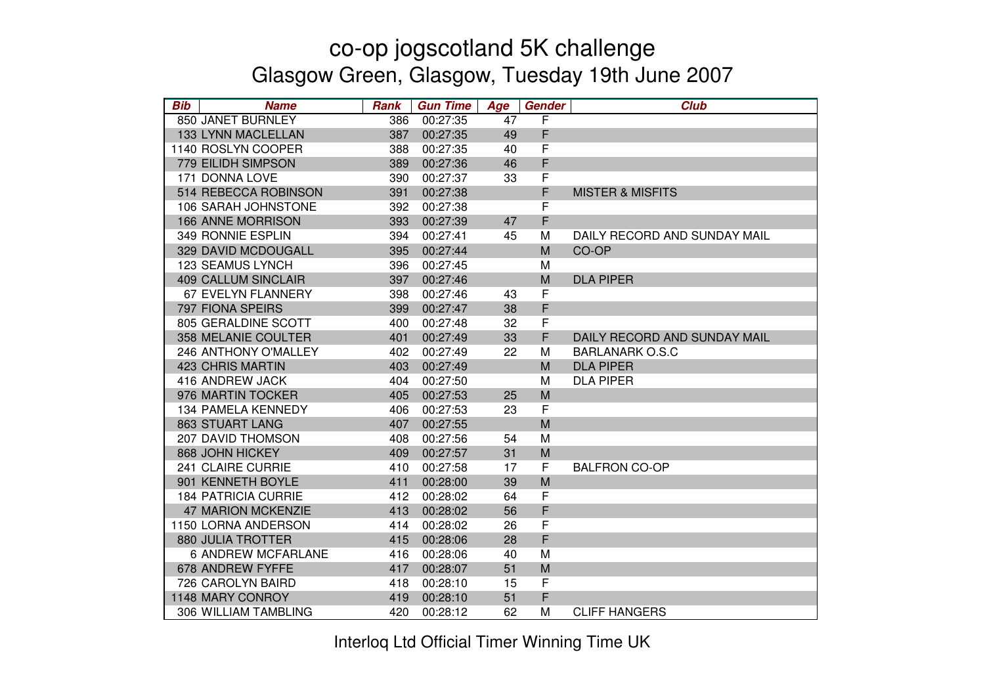| <b>Bib</b><br><b>Name</b>  | <b>Rank</b> | <b>Gun Time</b> | Age | Gender      | <b>Club</b>                  |
|----------------------------|-------------|-----------------|-----|-------------|------------------------------|
| 850 JANET BURNLEY          | 386         | 00:27:35        | 47  | F           |                              |
| 133 LYNN MACLELLAN         | 387         | 00:27:35        | 49  | F           |                              |
| 1140 ROSLYN COOPER         | 388         | 00:27:35        | 40  | F           |                              |
| 779 EILIDH SIMPSON         | 389         | 00:27:36        | 46  | F           |                              |
| 171 DONNA LOVE             | 390         | 00:27:37        | 33  | F           |                              |
| 514 REBECCA ROBINSON       | 391         | 00:27:38        |     | F           | <b>MISTER &amp; MISFITS</b>  |
| 106 SARAH JOHNSTONE        | 392         | 00:27:38        |     | F           |                              |
| 166 ANNE MORRISON          | 393         | 00:27:39        | 47  | F           |                              |
| 349 RONNIE ESPLIN          | 394         | 00:27:41        | 45  | M           | DAILY RECORD AND SUNDAY MAIL |
| 329 DAVID MCDOUGALL        | 395         | 00:27:44        |     | M           | CO-OP                        |
| <b>123 SEAMUS LYNCH</b>    | 396         | 00:27:45        |     | M           |                              |
| <b>409 CALLUM SINCLAIR</b> | 397         | 00:27:46        |     | M           | <b>DLA PIPER</b>             |
| 67 EVELYN FLANNERY         | 398         | 00:27:46        | 43  | F           |                              |
| 797 FIONA SPEIRS           | 399         | 00:27:47        | 38  | F           |                              |
| 805 GERALDINE SCOTT        | 400         | 00:27:48        | 32  | F           |                              |
| 358 MELANIE COULTER        | 401         | 00:27:49        | 33  | F           | DAILY RECORD AND SUNDAY MAIL |
| 246 ANTHONY O'MALLEY       | 402         | 00:27:49        | 22  | M           | <b>BARLANARK O.S.C</b>       |
| <b>423 CHRIS MARTIN</b>    | 403         | 00:27:49        |     | M           | <b>DLA PIPER</b>             |
| 416 ANDREW JACK            | 404         | 00:27:50        |     | M           | <b>DLA PIPER</b>             |
| 976 MARTIN TOCKER          | 405         | 00:27:53        | 25  | M           |                              |
| 134 PAMELA KENNEDY         | 406         | 00:27:53        | 23  | F           |                              |
| <b>863 STUART LANG</b>     | 407         | 00:27:55        |     | M           |                              |
| <b>207 DAVID THOMSON</b>   | 408         | 00:27:56        | 54  | M           |                              |
| 868 JOHN HICKEY            | 409         | 00:27:57        | 31  | M           |                              |
| 241 CLAIRE CURRIE          | 410         | 00:27:58        | 17  | $\mathsf F$ | <b>BALFRON CO-OP</b>         |
| 901 KENNETH BOYLE          | 411         | 00:28:00        | 39  | M           |                              |
| <b>184 PATRICIA CURRIE</b> | 412         | 00:28:02        | 64  | F           |                              |
| <b>47 MARION MCKENZIE</b>  | 413         | 00:28:02        | 56  | F           |                              |
| 1150 LORNA ANDERSON        | 414         | 00:28:02        | 26  | F           |                              |
| <b>880 JULIA TROTTER</b>   | 415         | 00:28:06        | 28  | $\mathsf F$ |                              |
| <b>6 ANDREW MCFARLANE</b>  | 416         | 00:28:06        | 40  | M           |                              |
| 678 ANDREW FYFFE           | 417         | 00:28:07        | 51  | M           |                              |
| 726 CAROLYN BAIRD          | 418         | 00:28:10        | 15  | F           |                              |
| 1148 MARY CONROY           | 419         | 00:28:10        | 51  | F           |                              |
| 306 WILLIAM TAMBLING       | 420         | 00:28:12        | 62  | M           | <b>CLIFF HANGERS</b>         |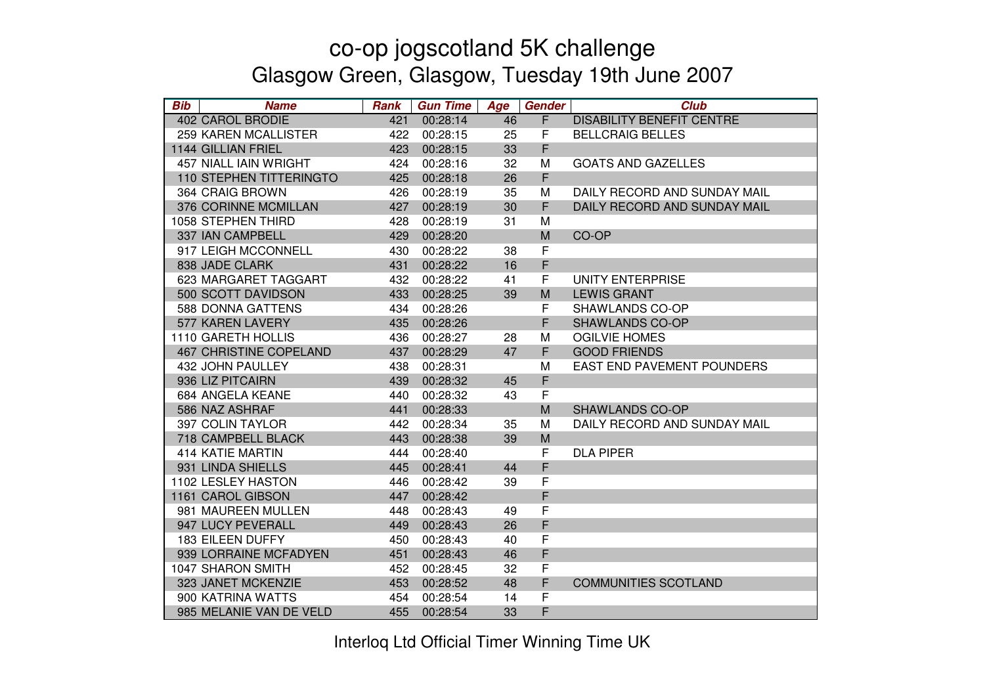| <b>Bib</b> | <b>Name</b>                    | <b>Rank</b> | <b>Gun Time</b> | Age | <b>Gender</b> | <b>Club</b>                       |
|------------|--------------------------------|-------------|-----------------|-----|---------------|-----------------------------------|
|            | <b>402 CAROL BRODIE</b>        | 421         | 00:28:14        | 46  | F             | <b>DISABILITY BENEFIT CENTRE</b>  |
|            | <b>259 KAREN MCALLISTER</b>    | 422         | 00:28:15        | 25  | F             | <b>BELLCRAIG BELLES</b>           |
|            | 1144 GILLIAN FRIEL             | 423         | 00:28:15        | 33  | F             |                                   |
|            | <b>457 NIALL IAIN WRIGHT</b>   | 424         | 00:28:16        | 32  | M             | <b>GOATS AND GAZELLES</b>         |
|            | <b>110 STEPHEN TITTERINGTO</b> | 425         | 00:28:18        | 26  | F             |                                   |
|            | 364 CRAIG BROWN                | 426         | 00:28:19        | 35  | M             | DAILY RECORD AND SUNDAY MAIL      |
|            | 376 CORINNE MCMILLAN           | 427         | 00:28:19        | 30  | F             | DAILY RECORD AND SUNDAY MAIL      |
|            | 1058 STEPHEN THIRD             | 428         | 00:28:19        | 31  | M             |                                   |
|            | 337 IAN CAMPBELL               | 429         | 00:28:20        |     | M             | CO-OP                             |
|            | 917 LEIGH MCCONNELL            | 430         | 00:28:22        | 38  | F             |                                   |
|            | 838 JADE CLARK                 | 431         | 00:28:22        | 16  | F             |                                   |
|            | 623 MARGARET TAGGART           | 432         | 00:28:22        | 41  | F             | UNITY ENTERPRISE                  |
|            | 500 SCOTT DAVIDSON             | 433         | 00:28:25        | 39  | ${\sf M}$     | <b>LEWIS GRANT</b>                |
|            | 588 DONNA GATTENS              | 434         | 00:28:26        |     | F             | SHAWLANDS CO-OP                   |
|            | 577 KAREN LAVERY               | 435         | 00:28:26        |     | F             | <b>SHAWLANDS CO-OP</b>            |
|            | 1110 GARETH HOLLIS             | 436         | 00:28:27        | 28  | M             | <b>OGILVIE HOMES</b>              |
|            | <b>467 CHRISTINE COPELAND</b>  | 437         | 00:28:29        | 47  | F             | <b>GOOD FRIENDS</b>               |
|            | 432 JOHN PAULLEY               | 438         | 00:28:31        |     | M             | <b>EAST END PAVEMENT POUNDERS</b> |
|            | 936 LIZ PITCAIRN               | 439         | 00:28:32        | 45  | F             |                                   |
|            | 684 ANGELA KEANE               | 440         | 00:28:32        | 43  | F             |                                   |
|            | 586 NAZ ASHRAF                 | 441         | 00:28:33        |     | M             | <b>SHAWLANDS CO-OP</b>            |
|            | 397 COLIN TAYLOR               | 442         | 00:28:34        | 35  | M             | DAILY RECORD AND SUNDAY MAIL      |
|            | 718 CAMPBELL BLACK             | 443         | 00:28:38        | 39  | M             |                                   |
|            | <b>414 KATIE MARTIN</b>        | 444         | 00:28:40        |     | F             | <b>DLA PIPER</b>                  |
|            | 931 LINDA SHIELLS              | 445         | 00:28:41        | 44  | F             |                                   |
|            | 1102 LESLEY HASTON             | 446         | 00:28:42        | 39  | F             |                                   |
|            | 1161 CAROL GIBSON              | 447         | 00:28:42        |     | F             |                                   |
|            | 981 MAUREEN MULLEN             | 448         | 00:28:43        | 49  | F             |                                   |
|            | 947 LUCY PEVERALL              | 449         | 00:28:43        | 26  | F             |                                   |
|            | 183 EILEEN DUFFY               | 450         | 00:28:43        | 40  | F             |                                   |
|            | 939 LORRAINE MCFADYEN          | 451         | 00:28:43        | 46  | F             |                                   |
|            | 1047 SHARON SMITH              | 452         | 00:28:45        | 32  | F             |                                   |
|            | 323 JANET MCKENZIE             | 453         | 00:28:52        | 48  | F             | <b>COMMUNITIES SCOTLAND</b>       |
|            | 900 KATRINA WATTS              | 454         | 00:28:54        | 14  | F             |                                   |
|            | 985 MELANIE VAN DE VELD        | 455         | 00:28:54        | 33  | F             |                                   |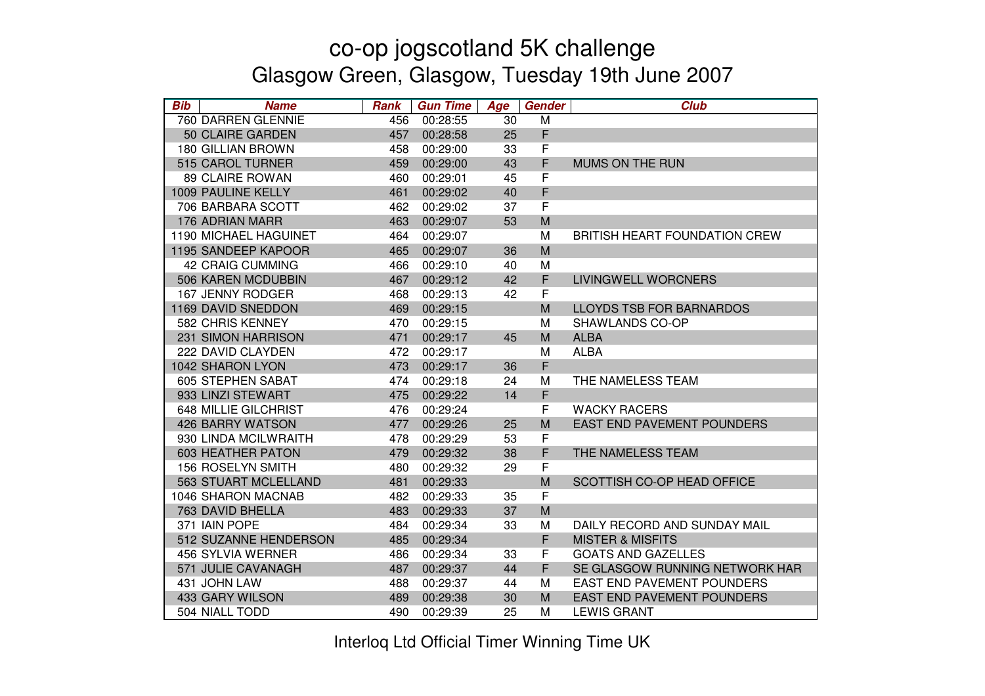| <b>Bib</b> | <b>Name</b>                  | <b>Rank</b> | <b>Gun Time</b> | Age | Gender | <b>Club</b>                          |
|------------|------------------------------|-------------|-----------------|-----|--------|--------------------------------------|
|            | 760 DARREN GLENNIE           | 456         | 00:28:55        | 30  | M      |                                      |
|            | 50 CLAIRE GARDEN             | 457         | 00:28:58        | 25  | F      |                                      |
|            | <b>180 GILLIAN BROWN</b>     | 458         | 00:29:00        | 33  | F      |                                      |
|            | 515 CAROL TURNER             | 459         | 00:29:00        | 43  | F      | MUMS ON THE RUN                      |
|            | 89 CLAIRE ROWAN              | 460         | 00:29:01        | 45  | F      |                                      |
|            | 1009 PAULINE KELLY           | 461         | 00:29:02        | 40  | F      |                                      |
|            | 706 BARBARA SCOTT            | 462         | 00:29:02        | 37  | F      |                                      |
|            | 176 ADRIAN MARR              | 463         | 00:29:07        | 53  | M      |                                      |
|            | <b>1190 MICHAEL HAGUINET</b> | 464         | 00:29:07        |     | M      | <b>BRITISH HEART FOUNDATION CREW</b> |
|            | 1195 SANDEEP KAPOOR          | 465         | 00:29:07        | 36  | M      |                                      |
|            | <b>42 CRAIG CUMMING</b>      | 466         | 00:29:10        | 40  | M      |                                      |
|            | 506 KAREN MCDUBBIN           | 467         | 00:29:12        | 42  | F      | <b>LIVINGWELL WORCNERS</b>           |
|            | 167 JENNY RODGER             | 468         | 00:29:13        | 42  | F      |                                      |
|            | 1169 DAVID SNEDDON           | 469         | 00:29:15        |     | M      | <b>LLOYDS TSB FOR BARNARDOS</b>      |
|            | 582 CHRIS KENNEY             | 470         | 00:29:15        |     | M      | SHAWLANDS CO-OP                      |
|            | 231 SIMON HARRISON           | 471         | 00:29:17        | 45  | M      | <b>ALBA</b>                          |
|            | 222 DAVID CLAYDEN            | 472         | 00:29:17        |     | M      | <b>ALBA</b>                          |
|            | 1042 SHARON LYON             | 473         | 00:29:17        | 36  | F      |                                      |
|            | <b>605 STEPHEN SABAT</b>     | 474         | 00:29:18        | 24  | M      | THE NAMELESS TEAM                    |
|            | 933 LINZI STEWART            | 475         | 00:29:22        | 14  | F      |                                      |
|            | <b>648 MILLIE GILCHRIST</b>  | 476         | 00:29:24        |     | F      | <b>WACKY RACERS</b>                  |
|            | <b>426 BARRY WATSON</b>      | 477         | 00:29:26        | 25  | M      | <b>EAST END PAVEMENT POUNDERS</b>    |
|            | 930 LINDA MCILWRAITH         | 478         | 00:29:29        | 53  | F      |                                      |
|            | <b>603 HEATHER PATON</b>     | 479         | 00:29:32        | 38  | F      | THE NAMELESS TEAM                    |
|            | 156 ROSELYN SMITH            | 480         | 00:29:32        | 29  | F      |                                      |
|            | 563 STUART MCLELLAND         | 481         | 00:29:33        |     | M      | SCOTTISH CO-OP HEAD OFFICE           |
|            | 1046 SHARON MACNAB           | 482         | 00:29:33        | 35  | F      |                                      |
|            | 763 DAVID BHELLA             | 483         | 00:29:33        | 37  | M      |                                      |
|            | 371 IAIN POPE                | 484         | 00:29:34        | 33  | M      | DAILY RECORD AND SUNDAY MAIL         |
|            | 512 SUZANNE HENDERSON        | 485         | 00:29:34        |     | F      | <b>MISTER &amp; MISFITS</b>          |
|            | 456 SYLVIA WERNER            | 486         | 00:29:34        | 33  | F      | <b>GOATS AND GAZELLES</b>            |
|            | 571 JULIE CAVANAGH           | 487         | 00:29:37        | 44  | F      | SE GLASGOW RUNNING NETWORK HAR       |
|            | 431 JOHN LAW                 | 488         | 00:29:37        | 44  | M      | <b>EAST END PAVEMENT POUNDERS</b>    |
|            | 433 GARY WILSON              | 489         | 00:29:38        | 30  | M      | <b>EAST END PAVEMENT POUNDERS</b>    |
|            | 504 NIALL TODD               | 490         | 00:29:39        | 25  | М      | <b>LEWIS GRANT</b>                   |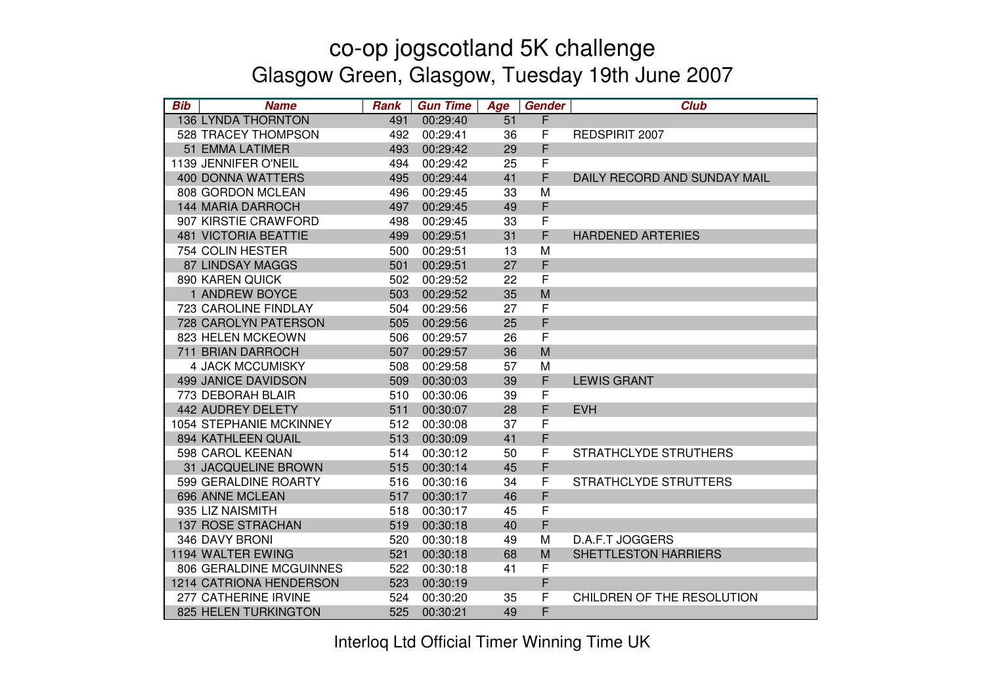| <b>Bib</b><br><b>Name</b>   | <b>Rank</b> | <b>Gun Time</b> | Age | Gender      | <b>Club</b>                  |
|-----------------------------|-------------|-----------------|-----|-------------|------------------------------|
| <b>136 LYNDA THORNTON</b>   | 491         | 00:29:40        | 51  | F           |                              |
| <b>528 TRACEY THOMPSON</b>  | 492         | 00:29:41        | 36  | F           | REDSPIRIT 2007               |
| 51 EMMA LATIMER             | 493         | 00:29:42        | 29  | F           |                              |
| 1139 JENNIFER O'NEIL        | 494         | 00:29:42        | 25  | F           |                              |
| <b>400 DONNA WATTERS</b>    | 495         | 00:29:44        | 41  | F           | DAILY RECORD AND SUNDAY MAIL |
| 808 GORDON MCLEAN           | 496         | 00:29:45        | 33  | M           |                              |
| <b>144 MARIA DARROCH</b>    | 497         | 00:29:45        | 49  | F           |                              |
| 907 KIRSTIE CRAWFORD        | 498         | 00:29:45        | 33  | F           |                              |
| <b>481 VICTORIA BEATTIE</b> | 499         | 00:29:51        | 31  | F           | <b>HARDENED ARTERIES</b>     |
| 754 COLIN HESTER            | 500         | 00:29:51        | 13  | M           |                              |
| <b>87 LINDSAY MAGGS</b>     | 501         | 00:29:51        | 27  | F           |                              |
| 890 KAREN QUICK             | 502         | 00:29:52        | 22  | $\mathsf F$ |                              |
| 1 ANDREW BOYCE              | 503         | 00:29:52        | 35  | M           |                              |
| 723 CAROLINE FINDLAY        | 504         | 00:29:56        | 27  | F           |                              |
| 728 CAROLYN PATERSON        | 505         | 00:29:56        | 25  | F           |                              |
| 823 HELEN MCKEOWN           | 506         | 00:29:57        | 26  | F           |                              |
| 711 BRIAN DARROCH           | 507         | 00:29:57        | 36  | M           |                              |
| <b>4 JACK MCCUMISKY</b>     | 508         | 00:29:58        | 57  | M           |                              |
| <b>499 JANICE DAVIDSON</b>  | 509         | 00:30:03        | 39  | F           | <b>LEWIS GRANT</b>           |
| 773 DEBORAH BLAIR           | 510         | 00:30:06        | 39  | F           |                              |
| 442 AUDREY DELETY           | 511         | 00:30:07        | 28  | F           | <b>EVH</b>                   |
| 1054 STEPHANIE MCKINNEY     | 512         | 00:30:08        | 37  | F           |                              |
| 894 KATHLEEN QUAIL          | 513         | 00:30:09        | 41  | F           |                              |
| 598 CAROL KEENAN            | 514         | 00:30:12        | 50  | F           | STRATHCLYDE STRUTHERS        |
| 31 JACQUELINE BROWN         | 515         | 00:30:14        | 45  | F           |                              |
| 599 GERALDINE ROARTY        | 516         | 00:30:16        | 34  | F           | STRATHCLYDE STRUTTERS        |
| 696 ANNE MCLEAN             | 517         | 00:30:17        | 46  | F           |                              |
| 935 LIZ NAISMITH            | 518         | 00:30:17        | 45  | F           |                              |
| 137 ROSE STRACHAN           | 519         | 00:30:18        | 40  | F           |                              |
| 346 DAVY BRONI              | 520         | 00:30:18        | 49  | M           | D.A.F.T JOGGERS              |
| 1194 WALTER EWING           | 521         | 00:30:18        | 68  | M           | <b>SHETTLESTON HARRIERS</b>  |
| 806 GERALDINE MCGUINNES     | 522         | 00:30:18        | 41  | F           |                              |
| 1214 CATRIONA HENDERSON     | 523         | 00:30:19        |     | F           |                              |
| 277 CATHERINE IRVINE        | 524         | 00:30:20        | 35  | F           | CHILDREN OF THE RESOLUTION   |
| 825 HELEN TURKINGTON        | 525         | 00:30:21        | 49  | F           |                              |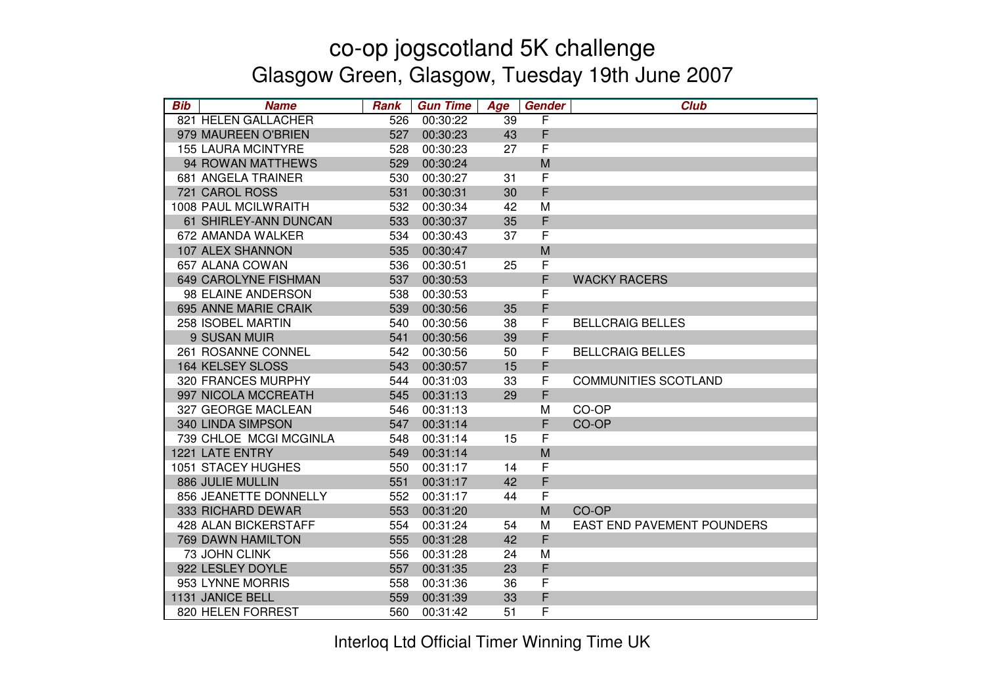| <b>Bib</b> | <b>Name</b>                 | <b>Rank</b> | <b>Gun Time</b> | Age | <b>Gender</b> | <b>Club</b>                 |
|------------|-----------------------------|-------------|-----------------|-----|---------------|-----------------------------|
|            | 821 HELEN GALLACHER         | 526         | 00:30:22        | 39  | F             |                             |
|            | 979 MAUREEN O'BRIEN         | 527         | 00:30:23        | 43  | F             |                             |
|            | <b>155 LAURA MCINTYRE</b>   | 528         | 00:30:23        | 27  | $\mathsf{F}$  |                             |
|            | 94 ROWAN MATTHEWS           | 529         | 00:30:24        |     | M             |                             |
|            | 681 ANGELA TRAINER          | 530         | 00:30:27        | 31  | F             |                             |
|            | 721 CAROL ROSS              | 531         | 00:30:31        | 30  | $\mathsf F$   |                             |
|            | 1008 PAUL MCILWRAITH        | 532         | 00:30:34        | 42  | M             |                             |
|            | 61 SHIRLEY-ANN DUNCAN       | 533         | 00:30:37        | 35  | F             |                             |
|            | 672 AMANDA WALKER           | 534         | 00:30:43        | 37  | F             |                             |
|            | 107 ALEX SHANNON            | 535         | 00:30:47        |     | M             |                             |
|            | 657 ALANA COWAN             | 536         | 00:30:51        | 25  | F             |                             |
|            | 649 CAROLYNE FISHMAN        | 537         | 00:30:53        |     | F             | <b>WACKY RACERS</b>         |
|            | 98 ELAINE ANDERSON          | 538         | 00:30:53        |     | F             |                             |
|            | 695 ANNE MARIE CRAIK        | 539         | 00:30:56        | 35  | F             |                             |
|            | 258 ISOBEL MARTIN           | 540         | 00:30:56        | 38  | F             | <b>BELLCRAIG BELLES</b>     |
|            | 9 SUSAN MUIR                | 541         | 00:30:56        | 39  | F             |                             |
|            | 261 ROSANNE CONNEL          | 542         | 00:30:56        | 50  | F             | <b>BELLCRAIG BELLES</b>     |
|            | <b>164 KELSEY SLOSS</b>     | 543         | 00:30:57        | 15  | F             |                             |
|            | 320 FRANCES MURPHY          | 544         | 00:31:03        | 33  | F             | <b>COMMUNITIES SCOTLAND</b> |
|            | 997 NICOLA MCCREATH         | 545         | 00:31:13        | 29  | F             |                             |
|            | 327 GEORGE MACLEAN          | 546         | 00:31:13        |     | M             | CO-OP                       |
|            | 340 LINDA SIMPSON           | 547         | 00:31:14        |     | F             | CO-OP                       |
|            | 739 CHLOE MCGI MCGINLA      | 548         | 00:31:14        | 15  | F             |                             |
|            | 1221 LATE ENTRY             | 549         | 00:31:14        |     | M             |                             |
|            | 1051 STACEY HUGHES          | 550         | 00:31:17        | 14  | F             |                             |
|            | 886 JULIE MULLIN            | 551         | 00:31:17        | 42  | F             |                             |
|            | 856 JEANETTE DONNELLY       | 552         | 00:31:17        | 44  | $\mathsf F$   |                             |
|            | 333 RICHARD DEWAR           | 553         | 00:31:20        |     | M             | CO-OP                       |
|            | <b>428 ALAN BICKERSTAFF</b> | 554         | 00:31:24        | 54  | M             | EAST END PAVEMENT POUNDERS  |
|            | <b>769 DAWN HAMILTON</b>    | 555         | 00:31:28        | 42  | $\mathsf F$   |                             |
|            | 73 JOHN CLINK               | 556         | 00:31:28        | 24  | M             |                             |
|            | 922 LESLEY DOYLE            | 557         | 00:31:35        | 23  | F             |                             |
|            | 953 LYNNE MORRIS            | 558         | 00:31:36        | 36  | F             |                             |
|            | 1131 JANICE BELL            | 559         | 00:31:39        | 33  | F             |                             |
|            | 820 HELEN FORREST           | 560         | 00:31:42        | 51  | F             |                             |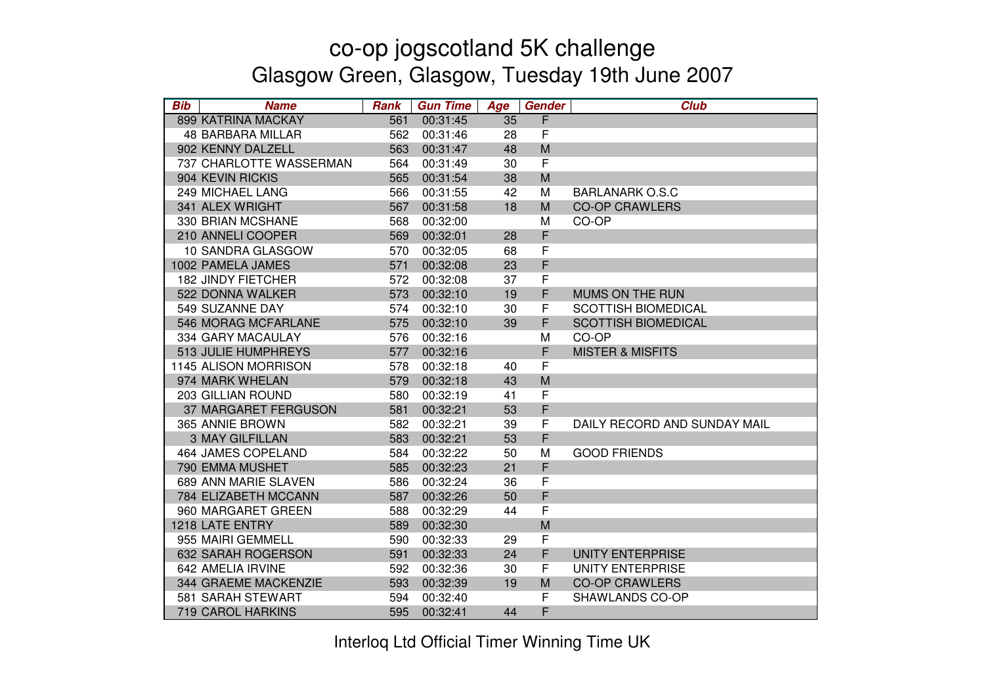| <b>Bib</b> | <b>Name</b>               | <b>Rank</b> | <b>Gun Time</b> | Age | <b>Gender</b> | <b>Club</b>                  |
|------------|---------------------------|-------------|-----------------|-----|---------------|------------------------------|
|            | 899 KATRINA MACKAY        | 561         | 00:31:45        | 35  | F             |                              |
|            | <b>48 BARBARA MILLAR</b>  | 562         | 00:31:46        | 28  | $\mathsf F$   |                              |
|            | 902 KENNY DALZELL         | 563         | 00:31:47        | 48  | M             |                              |
|            | 737 CHARLOTTE WASSERMAN   | 564         | 00:31:49        | 30  | F             |                              |
|            | 904 KEVIN RICKIS          | 565         | 00:31:54        | 38  | M             |                              |
|            | 249 MICHAEL LANG          | 566         | 00:31:55        | 42  | M             | <b>BARLANARK O.S.C</b>       |
|            | 341 ALEX WRIGHT           | 567         | 00:31:58        | 18  | M             | <b>CO-OP CRAWLERS</b>        |
|            | 330 BRIAN MCSHANE         | 568         | 00:32:00        |     | M             | CO-OP                        |
|            | 210 ANNELI COOPER         | 569         | 00:32:01        | 28  | F             |                              |
|            | 10 SANDRA GLASGOW         | 570         | 00:32:05        | 68  | F             |                              |
|            | 1002 PAMELA JAMES         | 571         | 00:32:08        | 23  | F             |                              |
|            | <b>182 JINDY FIETCHER</b> | 572         | 00:32:08        | 37  | F             |                              |
|            | 522 DONNA WALKER          | 573         | 00:32:10        | 19  | F             | MUMS ON THE RUN              |
|            | 549 SUZANNE DAY           | 574         | 00:32:10        | 30  | F             | <b>SCOTTISH BIOMEDICAL</b>   |
|            | 546 MORAG MCFARLANE       | 575         | 00:32:10        | 39  | F             | <b>SCOTTISH BIOMEDICAL</b>   |
|            | 334 GARY MACAULAY         | 576         | 00:32:16        |     | M             | CO-OP                        |
|            | 513 JULIE HUMPHREYS       | 577         | 00:32:16        |     | F             | <b>MISTER &amp; MISFITS</b>  |
|            | 1145 ALISON MORRISON      | 578         | 00:32:18        | 40  | F             |                              |
|            | 974 MARK WHELAN           | 579         | 00:32:18        | 43  | M             |                              |
|            | 203 GILLIAN ROUND         | 580         | 00:32:19        | 41  | F             |                              |
|            | 37 MARGARET FERGUSON      | 581         | 00:32:21        | 53  | F             |                              |
|            | 365 ANNIE BROWN           | 582         | 00:32:21        | 39  | F             | DAILY RECORD AND SUNDAY MAIL |
|            | <b>3 MAY GILFILLAN</b>    | 583         | 00:32:21        | 53  | F             |                              |
|            | 464 JAMES COPELAND        | 584         | 00:32:22        | 50  | M             | <b>GOOD FRIENDS</b>          |
|            | 790 EMMA MUSHET           | 585         | 00:32:23        | 21  | F             |                              |
|            | 689 ANN MARIE SLAVEN      | 586         | 00:32:24        | 36  | F             |                              |
|            | 784 ELIZABETH MCCANN      | 587         | 00:32:26        | 50  | F             |                              |
|            | 960 MARGARET GREEN        | 588         | 00:32:29        | 44  | F             |                              |
|            | 1218 LATE ENTRY           | 589         | 00:32:30        |     | M             |                              |
|            | 955 MAIRI GEMMELL         | 590         | 00:32:33        | 29  | F             |                              |
|            | 632 SARAH ROGERSON        | 591         | 00:32:33        | 24  | F             | <b>UNITY ENTERPRISE</b>      |
|            | 642 AMELIA IRVINE         | 592         | 00:32:36        | 30  | F             | <b>UNITY ENTERPRISE</b>      |
|            | 344 GRAEME MACKENZIE      | 593         | 00:32:39        | 19  | M             | <b>CO-OP CRAWLERS</b>        |
|            | 581 SARAH STEWART         | 594         | 00:32:40        |     | F             | SHAWLANDS CO-OP              |
|            | <b>719 CAROL HARKINS</b>  | 595         | 00:32:41        | 44  | F             |                              |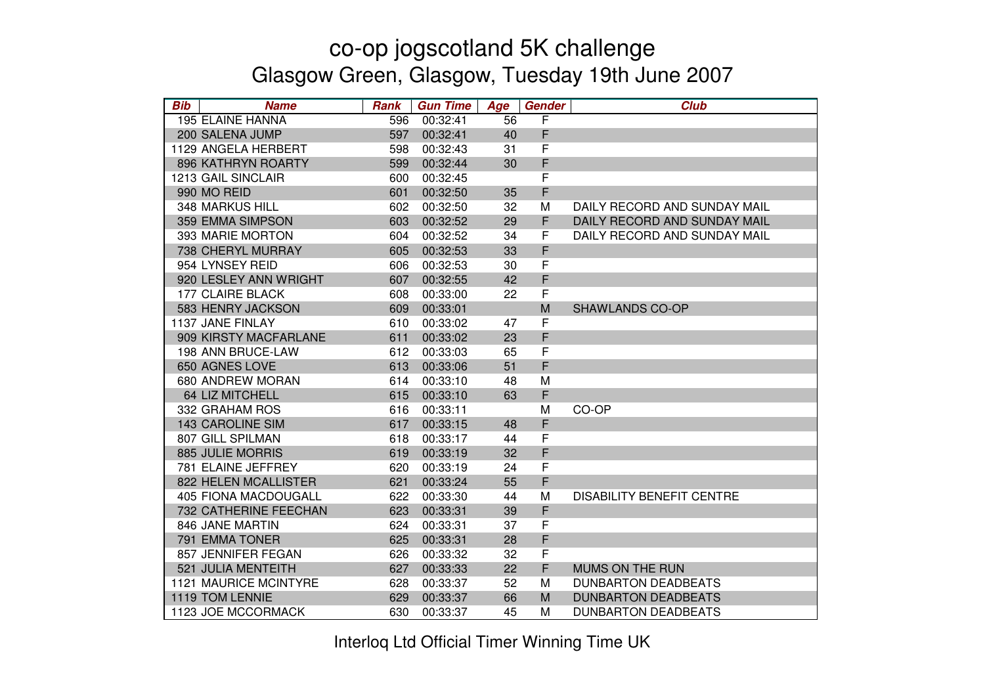| <b>Bib</b> | <b>Name</b>                 | <b>Rank</b> | <b>Gun Time</b> | Age | Gender      | <b>Club</b>                      |
|------------|-----------------------------|-------------|-----------------|-----|-------------|----------------------------------|
|            | 195 ELAINE HANNA            | 596         | 00:32:41        | 56  | F           |                                  |
|            | 200 SALENA JUMP             | 597         | 00:32:41        | 40  | F           |                                  |
|            | 1129 ANGELA HERBERT         | 598         | 00:32:43        | 31  | F           |                                  |
|            | 896 KATHRYN ROARTY          | 599         | 00:32:44        | 30  | F           |                                  |
|            | 1213 GAIL SINCLAIR          | 600         | 00:32:45        |     | F           |                                  |
|            | 990 MO REID                 | 601         | 00:32:50        | 35  | F           |                                  |
|            | 348 MARKUS HILL             | 602         | 00:32:50        | 32  | M           | DAILY RECORD AND SUNDAY MAIL     |
|            | 359 EMMA SIMPSON            | 603         | 00:32:52        | 29  | F           | DAILY RECORD AND SUNDAY MAIL     |
|            | 393 MARIE MORTON            | 604         | 00:32:52        | 34  | F           | DAILY RECORD AND SUNDAY MAIL     |
|            | 738 CHERYL MURRAY           | 605         | 00:32:53        | 33  | F           |                                  |
|            | 954 LYNSEY REID             | 606         | 00:32:53        | 30  | F           |                                  |
|            | 920 LESLEY ANN WRIGHT       | 607         | 00:32:55        | 42  | F           |                                  |
|            | 177 CLAIRE BLACK            | 608         | 00:33:00        | 22  | F           |                                  |
|            | 583 HENRY JACKSON           | 609         | 00:33:01        |     | M           | <b>SHAWLANDS CO-OP</b>           |
|            | 1137 JANE FINLAY            | 610         | 00:33:02        | 47  | F           |                                  |
|            | 909 KIRSTY MACFARLANE       | 611         | 00:33:02        | 23  | F           |                                  |
|            | 198 ANN BRUCE-LAW           | 612         | 00:33:03        | 65  | F           |                                  |
|            | 650 AGNES LOVE              | 613         | 00:33:06        | 51  | F           |                                  |
|            | 680 ANDREW MORAN            | 614         | 00:33:10        | 48  | M           |                                  |
|            | 64 LIZ MITCHELL             | 615         | 00:33:10        | 63  | $\mathsf F$ |                                  |
|            | 332 GRAHAM ROS              | 616         | 00:33:11        |     | M           | CO-OP                            |
|            | <b>143 CAROLINE SIM</b>     | 617         | 00:33:15        | 48  | F           |                                  |
|            | 807 GILL SPILMAN            | 618         | 00:33:17        | 44  | F           |                                  |
|            | 885 JULIE MORRIS            | 619         | 00:33:19        | 32  | F           |                                  |
|            | 781 ELAINE JEFFREY          | 620         | 00:33:19        | 24  | F           |                                  |
|            | 822 HELEN MCALLISTER        | 621         | 00:33:24        | 55  | F           |                                  |
|            | <b>405 FIONA MACDOUGALL</b> | 622         | 00:33:30        | 44  | M           | <b>DISABILITY BENEFIT CENTRE</b> |
|            | 732 CATHERINE FEECHAN       | 623         | 00:33:31        | 39  | F           |                                  |
|            | 846 JANE MARTIN             | 624         | 00:33:31        | 37  | $\mathsf F$ |                                  |
|            | 791 EMMA TONER              | 625         | 00:33:31        | 28  | F           |                                  |
|            | 857 JENNIFER FEGAN          | 626         | 00:33:32        | 32  | $\mathsf F$ |                                  |
|            | 521 JULIA MENTEITH          | 627         | 00:33:33        | 22  | F           | MUMS ON THE RUN                  |
|            | 1121 MAURICE MCINTYRE       | 628         | 00:33:37        | 52  | M           | <b>DUNBARTON DEADBEATS</b>       |
|            | 1119 TOM LENNIE             | 629         | 00:33:37        | 66  | M           | <b>DUNBARTON DEADBEATS</b>       |
|            | 1123 JOE MCCORMACK          | 630         | 00:33:37        | 45  | M           | <b>DUNBARTON DEADBEATS</b>       |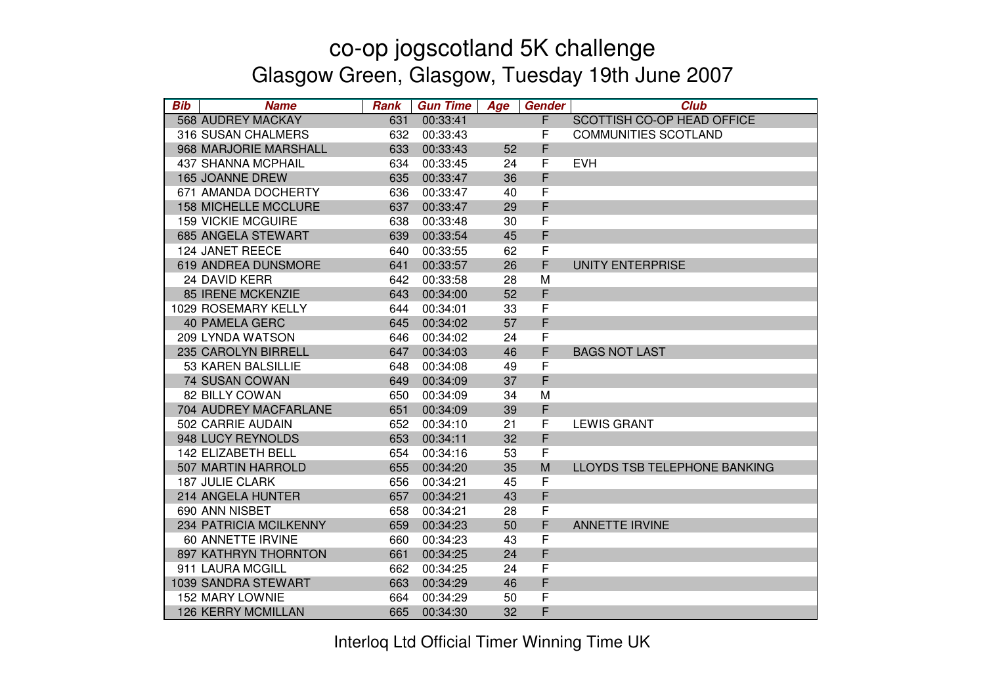| <b>Bib</b> | <b>Name</b>                 | <b>Rank</b> | <b>Gun Time</b> | Age | <b>Gender</b> | <b>Club</b>                  |
|------------|-----------------------------|-------------|-----------------|-----|---------------|------------------------------|
|            | <b>568 AUDREY MACKAY</b>    | 631         | 00:33:41        |     | F             | SCOTTISH CO-OP HEAD OFFICE   |
|            | 316 SUSAN CHALMERS          | 632         | 00:33:43        |     | F             | <b>COMMUNITIES SCOTLAND</b>  |
|            | 968 MARJORIE MARSHALL       | 633         | 00:33:43        | 52  | F             |                              |
|            | <b>437 SHANNA MCPHAIL</b>   | 634         | 00:33:45        | 24  | F             | <b>EVH</b>                   |
|            | 165 JOANNE DREW             | 635         | 00:33:47        | 36  | F             |                              |
|            | 671 AMANDA DOCHERTY         | 636         | 00:33:47        | 40  | F             |                              |
|            | <b>158 MICHELLE MCCLURE</b> | 637         | 00:33:47        | 29  | F             |                              |
|            | <b>159 VICKIE MCGUIRE</b>   | 638         | 00:33:48        | 30  | F             |                              |
|            | 685 ANGELA STEWART          | 639         | 00:33:54        | 45  | F             |                              |
|            | 124 JANET REECE             | 640         | 00:33:55        | 62  | F             |                              |
|            | 619 ANDREA DUNSMORE         | 641         | 00:33:57        | 26  | F             | <b>UNITY ENTERPRISE</b>      |
|            | 24 DAVID KERR               | 642         | 00:33:58        | 28  | M             |                              |
|            | <b>85 IRENE MCKENZIE</b>    | 643         | 00:34:00        | 52  | F             |                              |
|            | 1029 ROSEMARY KELLY         | 644         | 00:34:01        | 33  | $\mathsf F$   |                              |
|            | <b>40 PAMELA GERC</b>       | 645         | 00:34:02        | 57  | F             |                              |
|            | 209 LYNDA WATSON            | 646         | 00:34:02        | 24  | F             |                              |
|            | 235 CAROLYN BIRRELL         | 647         | 00:34:03        | 46  | F             | <b>BAGS NOT LAST</b>         |
|            | 53 KAREN BALSILLIE          | 648         | 00:34:08        | 49  | F             |                              |
|            | 74 SUSAN COWAN              | 649         | 00:34:09        | 37  | F             |                              |
|            | 82 BILLY COWAN              | 650         | 00:34:09        | 34  | M             |                              |
|            | 704 AUDREY MACFARLANE       | 651         | 00:34:09        | 39  | F             |                              |
|            | 502 CARRIE AUDAIN           | 652         | 00:34:10        | 21  | F             | <b>LEWIS GRANT</b>           |
|            | 948 LUCY REYNOLDS           | 653         | 00:34:11        | 32  | F             |                              |
|            | 142 ELIZABETH BELL          | 654         | 00:34:16        | 53  | F             |                              |
|            | 507 MARTIN HARROLD          | 655         | 00:34:20        | 35  | M             | LLOYDS TSB TELEPHONE BANKING |
|            | <b>187 JULIE CLARK</b>      | 656         | 00:34:21        | 45  | F             |                              |
|            | 214 ANGELA HUNTER           | 657         | 00:34:21        | 43  | F             |                              |
|            | 690 ANN NISBET              | 658         | 00:34:21        | 28  | F             |                              |
|            | 234 PATRICIA MCILKENNY      | 659         | 00:34:23        | 50  | F             | <b>ANNETTE IRVINE</b>        |
|            | 60 ANNETTE IRVINE           | 660         | 00:34:23        | 43  | F             |                              |
|            | 897 KATHRYN THORNTON        | 661         | 00:34:25        | 24  | F             |                              |
|            | 911 LAURA MCGILL            | 662         | 00:34:25        | 24  | F             |                              |
|            | 1039 SANDRA STEWART         | 663         | 00:34:29        | 46  | F             |                              |
|            | <b>152 MARY LOWNIE</b>      | 664         | 00:34:29        | 50  | F             |                              |
|            | <b>126 KERRY MCMILLAN</b>   | 665         | 00:34:30        | 32  | F             |                              |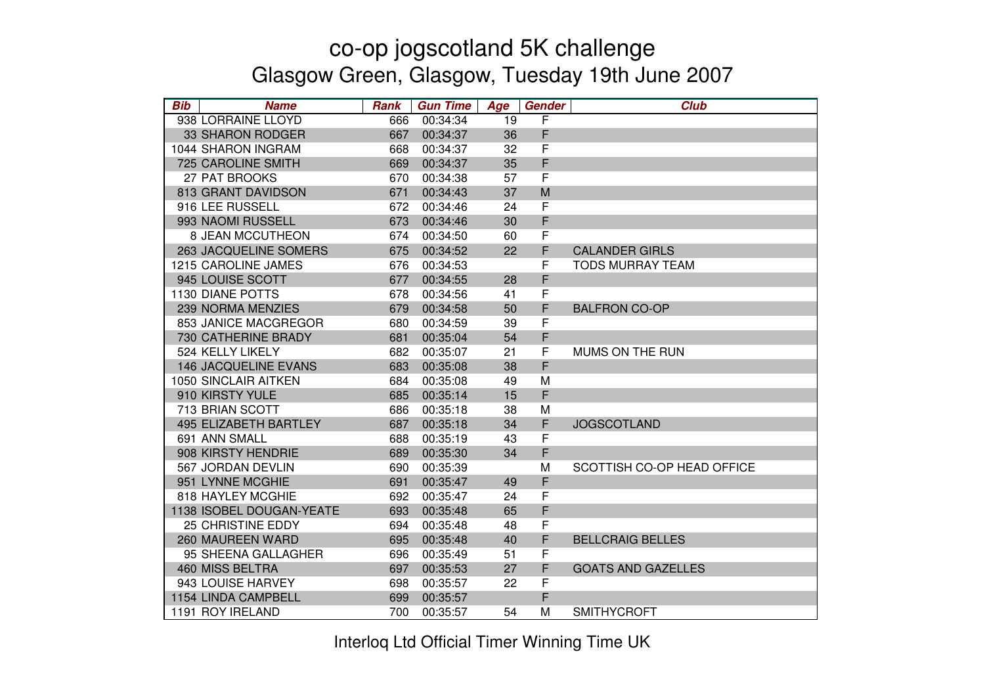| <b>Bib</b> | <b>Name</b>                 | <b>Rank</b> | <b>Gun Time</b> | Age | Gender      | <b>Club</b>                |
|------------|-----------------------------|-------------|-----------------|-----|-------------|----------------------------|
|            | 938 LORRAINE LLOYD          | 666         | 00:34:34        | 19  | F           |                            |
|            | 33 SHARON RODGER            | 667         | 00:34:37        | 36  | F           |                            |
|            | 1044 SHARON INGRAM          | 668         | 00:34:37        | 32  | F           |                            |
|            | <b>725 CAROLINE SMITH</b>   | 669         | 00:34:37        | 35  | F           |                            |
|            | 27 PAT BROOKS               | 670         | 00:34:38        | 57  | F           |                            |
|            | 813 GRANT DAVIDSON          | 671         | 00:34:43        | 37  | M           |                            |
|            | 916 LEE RUSSELL             | 672         | 00:34:46        | 24  | $\mathsf F$ |                            |
|            | 993 NAOMI RUSSELL           | 673         | 00:34:46        | 30  | F           |                            |
|            | 8 JEAN MCCUTHEON            | 674         | 00:34:50        | 60  | F           |                            |
|            | 263 JACQUELINE SOMERS       | 675         | 00:34:52        | 22  | F           | <b>CALANDER GIRLS</b>      |
|            | 1215 CAROLINE JAMES         | 676         | 00:34:53        |     | F           | <b>TODS MURRAY TEAM</b>    |
|            | 945 LOUISE SCOTT            | 677         | 00:34:55        | 28  | F           |                            |
|            | <b>1130 DIANE POTTS</b>     | 678         | 00:34:56        | 41  | F           |                            |
|            | 239 NORMA MENZIES           | 679         | 00:34:58        | 50  | F           | <b>BALFRON CO-OP</b>       |
|            | 853 JANICE MACGREGOR        | 680         | 00:34:59        | 39  | $\mathsf F$ |                            |
|            | 730 CATHERINE BRADY         | 681         | 00:35:04        | 54  | F           |                            |
|            | 524 KELLY LIKELY            | 682         | 00:35:07        | 21  | F           | <b>MUMS ON THE RUN</b>     |
|            | <b>146 JACQUELINE EVANS</b> | 683         | 00:35:08        | 38  | F           |                            |
|            | <b>1050 SINCLAIR AITKEN</b> | 684         | 00:35:08        | 49  | M           |                            |
|            | 910 KIRSTY YULE             | 685         | 00:35:14        | 15  | F           |                            |
|            | 713 BRIAN SCOTT             | 686         | 00:35:18        | 38  | M           |                            |
|            | 495 ELIZABETH BARTLEY       | 687         | 00:35:18        | 34  | F           | <b>JOGSCOTLAND</b>         |
|            | 691 ANN SMALL               | 688         | 00:35:19        | 43  | F           |                            |
|            | 908 KIRSTY HENDRIE          | 689         | 00:35:30        | 34  | F           |                            |
|            | 567 JORDAN DEVLIN           | 690         | 00:35:39        |     | M           | SCOTTISH CO-OP HEAD OFFICE |
|            | 951 LYNNE MCGHIE            | 691         | 00:35:47        | 49  | F           |                            |
|            | 818 HAYLEY MCGHIE           | 692         | 00:35:47        | 24  | $\mathsf F$ |                            |
|            | 1138 ISOBEL DOUGAN-YEATE    | 693         | 00:35:48        | 65  | F           |                            |
|            | <b>25 CHRISTINE EDDY</b>    | 694         | 00:35:48        | 48  | $\mathsf F$ |                            |
|            | 260 MAUREEN WARD            | 695         | 00:35:48        | 40  | F           | <b>BELLCRAIG BELLES</b>    |
|            | 95 SHEENA GALLAGHER         | 696         | 00:35:49        | 51  | $\mathsf F$ |                            |
|            | 460 MISS BELTRA             | 697         | 00:35:53        | 27  | F           | <b>GOATS AND GAZELLES</b>  |
|            | 943 LOUISE HARVEY           | 698         | 00:35:57        | 22  | F           |                            |
|            | 1154 LINDA CAMPBELL         | 699         | 00:35:57        |     | F           |                            |
|            | 1191 ROY IRELAND            | 700         | 00:35:57        | 54  | М           | <b>SMITHYCROFT</b>         |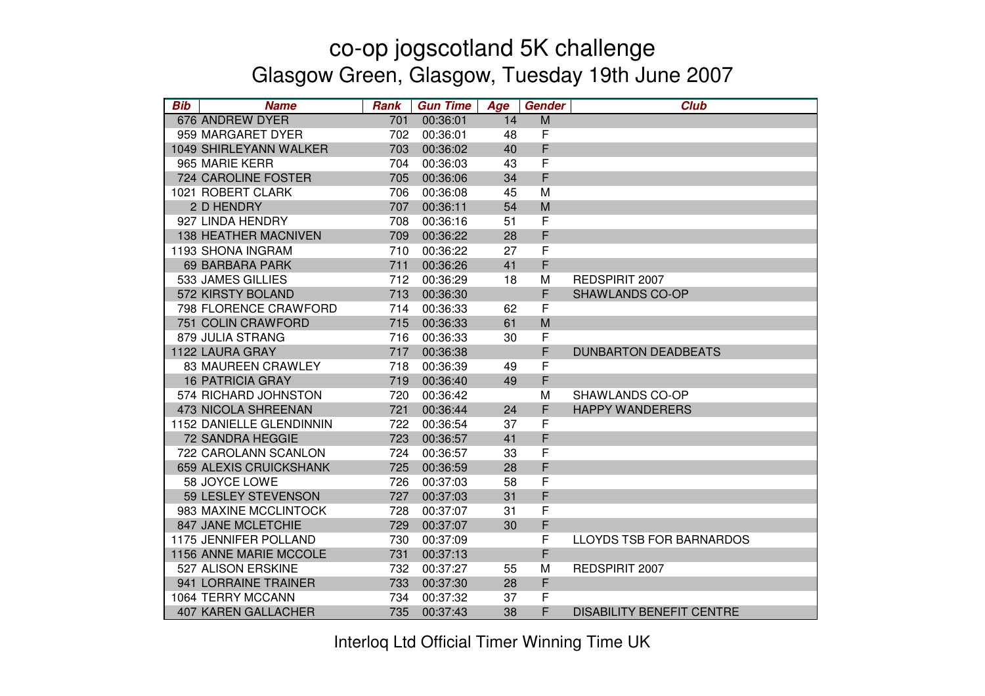| <b>Bib</b> | <b>Name</b>                   | <b>Rank</b> | <b>Gun Time</b> | Age | Gender      | <b>Club</b>                      |
|------------|-------------------------------|-------------|-----------------|-----|-------------|----------------------------------|
|            | 676 ANDREW DYER               | 701         | 00:36:01        | 14  | M           |                                  |
|            | 959 MARGARET DYER             | 702         | 00:36:01        | 48  | F           |                                  |
|            | 1049 SHIRLEYANN WALKER        | 703         | 00:36:02        | 40  | F           |                                  |
|            | 965 MARIE KERR                | 704         | 00:36:03        | 43  | F           |                                  |
|            | 724 CAROLINE FOSTER           | 705         | 00:36:06        | 34  | $\mathsf F$ |                                  |
|            | 1021 ROBERT CLARK             | 706         | 00:36:08        | 45  | M           |                                  |
|            | 2 D HENDRY                    | 707         | 00:36:11        | 54  | M           |                                  |
|            | 927 LINDA HENDRY              | 708         | 00:36:16        | 51  | $\mathsf F$ |                                  |
|            | <b>138 HEATHER MACNIVEN</b>   | 709         | 00:36:22        | 28  | F           |                                  |
|            | 1193 SHONA INGRAM             | 710         | 00:36:22        | 27  | F           |                                  |
|            | <b>69 BARBARA PARK</b>        | 711         | 00:36:26        | 41  | F           |                                  |
|            | 533 JAMES GILLIES             | 712         | 00:36:29        | 18  | М           | REDSPIRIT 2007                   |
|            | 572 KIRSTY BOLAND             | 713         | 00:36:30        |     | F           | <b>SHAWLANDS CO-OP</b>           |
|            | 798 FLORENCE CRAWFORD         | 714         | 00:36:33        | 62  | $\mathsf F$ |                                  |
|            | 751 COLIN CRAWFORD            | 715         | 00:36:33        | 61  | M           |                                  |
|            | 879 JULIA STRANG              | 716         | 00:36:33        | 30  | F           |                                  |
|            | 1122 LAURA GRAY               | 717         | 00:36:38        |     | F           | <b>DUNBARTON DEADBEATS</b>       |
|            | <b>83 MAUREEN CRAWLEY</b>     | 718         | 00:36:39        | 49  | F           |                                  |
|            | <b>16 PATRICIA GRAY</b>       | 719         | 00:36:40        | 49  | F           |                                  |
|            | 574 RICHARD JOHNSTON          | 720         | 00:36:42        |     | M           | <b>SHAWLANDS CO-OP</b>           |
|            | 473 NICOLA SHREENAN           | 721         | 00:36:44        | 24  | F           | <b>HAPPY WANDERERS</b>           |
|            | 1152 DANIELLE GLENDINNIN      | 722         | 00:36:54        | 37  | $\mathsf F$ |                                  |
|            | 72 SANDRA HEGGIE              | 723         | 00:36:57        | 41  | F           |                                  |
|            | 722 CAROLANN SCANLON          | 724         | 00:36:57        | 33  | F           |                                  |
|            | <b>659 ALEXIS CRUICKSHANK</b> | 725         | 00:36:59        | 28  | F           |                                  |
|            | 58 JOYCE LOWE                 | 726         | 00:37:03        | 58  | $\mathsf F$ |                                  |
|            | 59 LESLEY STEVENSON           | 727         | 00:37:03        | 31  | F           |                                  |
|            | 983 MAXINE MCCLINTOCK         | 728         | 00:37:07        | 31  | $\mathsf F$ |                                  |
|            | 847 JANE MCLETCHIE            | 729         | 00:37:07        | 30  | F           |                                  |
|            | 1175 JENNIFER POLLAND         | 730         | 00:37:09        |     | F           | <b>LLOYDS TSB FOR BARNARDOS</b>  |
|            | 1156 ANNE MARIE MCCOLE        | 731         | 00:37:13        |     | F           |                                  |
|            | 527 ALISON ERSKINE            | 732         | 00:37:27        | 55  | M           | REDSPIRIT 2007                   |
|            | 941 LORRAINE TRAINER          | 733         | 00:37:30        | 28  | F           |                                  |
|            | 1064 TERRY MCCANN             | 734         | 00:37:32        | 37  | F           |                                  |
|            | <b>407 KAREN GALLACHER</b>    | 735         | 00:37:43        | 38  | F           | <b>DISABILITY BENEFIT CENTRE</b> |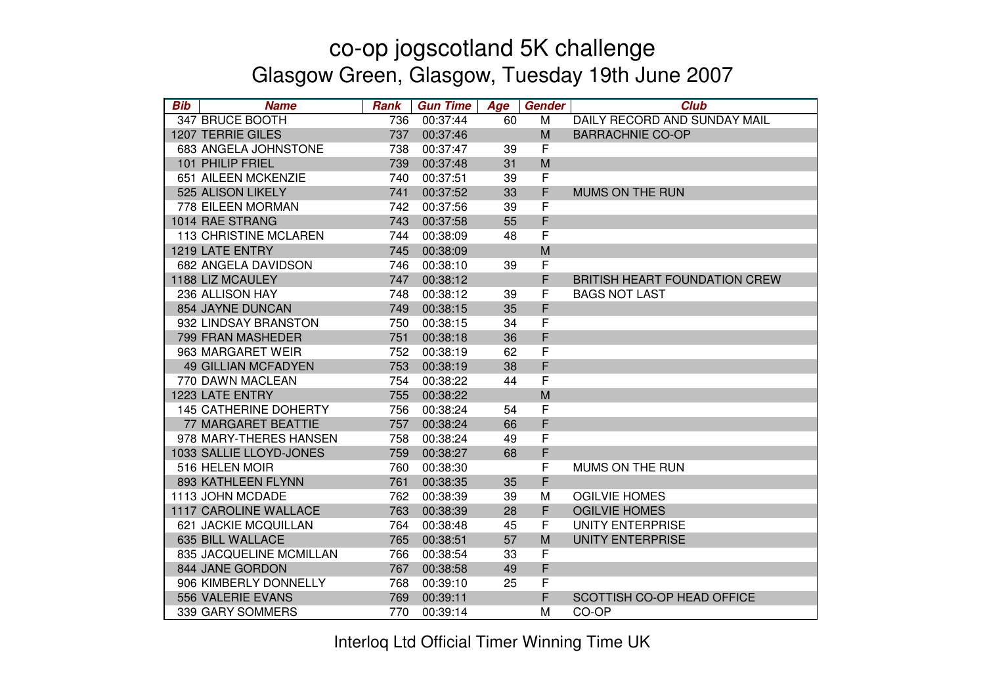| <b>Bib</b> | <b>Name</b>                  | <b>Rank</b> | <b>Gun Time</b> | Age | <b>Gender</b> | <b>Club</b>                          |
|------------|------------------------------|-------------|-----------------|-----|---------------|--------------------------------------|
|            | 347 BRUCE BOOTH              | 736         | 00:37:44        | 60  | M             | DAILY RECORD AND SUNDAY MAIL         |
|            | <b>1207 TERRIE GILES</b>     | 737         | 00:37:46        |     | M             | <b>BARRACHNIE CO-OP</b>              |
|            | 683 ANGELA JOHNSTONE         | 738         | 00:37:47        | 39  | F             |                                      |
|            | 101 PHILIP FRIEL             | 739         | 00:37:48        | 31  | M             |                                      |
|            | 651 AILEEN MCKENZIE          | 740         | 00:37:51        | 39  | F             |                                      |
|            | 525 ALISON LIKELY            | 741         | 00:37:52        | 33  | F             | MUMS ON THE RUN                      |
|            | 778 EILEEN MORMAN            | 742         | 00:37:56        | 39  | F             |                                      |
|            | 1014 RAE STRANG              | 743         | 00:37:58        | 55  | F             |                                      |
|            | <b>113 CHRISTINE MCLAREN</b> | 744         | 00:38:09        | 48  | F             |                                      |
|            | 1219 LATE ENTRY              | 745         | 00:38:09        |     | M             |                                      |
|            | 682 ANGELA DAVIDSON          | 746         | 00:38:10        | 39  | F             |                                      |
|            | 1188 LIZ MCAULEY             | 747         | 00:38:12        |     | F             | <b>BRITISH HEART FOUNDATION CREW</b> |
|            | 236 ALLISON HAY              | 748         | 00:38:12        | 39  | F             | <b>BAGS NOT LAST</b>                 |
|            | 854 JAYNE DUNCAN             | 749         | 00:38:15        | 35  | F             |                                      |
|            | 932 LINDSAY BRANSTON         | 750         | 00:38:15        | 34  | F             |                                      |
|            | 799 FRAN MASHEDER            | 751         | 00:38:18        | 36  | F             |                                      |
|            | 963 MARGARET WEIR            | 752         | 00:38:19        | 62  | F             |                                      |
|            | <b>49 GILLIAN MCFADYEN</b>   | 753         | 00:38:19        | 38  | F             |                                      |
|            | 770 DAWN MACLEAN             | 754         | 00:38:22        | 44  | F             |                                      |
|            | 1223 LATE ENTRY              | 755         | 00:38:22        |     | M             |                                      |
|            | <b>145 CATHERINE DOHERTY</b> | 756         | 00:38:24        | 54  | F             |                                      |
|            | <b>77 MARGARET BEATTIE</b>   | 757         | 00:38:24        | 66  | F             |                                      |
|            | 978 MARY-THERES HANSEN       | 758         | 00:38:24        | 49  | F             |                                      |
|            | 1033 SALLIE LLOYD-JONES      | 759         | 00:38:27        | 68  | F             |                                      |
|            | 516 HELEN MOIR               | 760         | 00:38:30        |     | $\mathsf F$   | MUMS ON THE RUN                      |
|            | 893 KATHLEEN FLYNN           | 761         | 00:38:35        | 35  | F             |                                      |
|            | 1113 JOHN MCDADE             | 762         | 00:38:39        | 39  | M             | <b>OGILVIE HOMES</b>                 |
|            | <b>1117 CAROLINE WALLACE</b> | 763         | 00:38:39        | 28  | F             | <b>OGILVIE HOMES</b>                 |
|            | 621 JACKIE MCQUILLAN         | 764         | 00:38:48        | 45  | F             | <b>UNITY ENTERPRISE</b>              |
|            | 635 BILL WALLACE             | 765         | 00:38:51        | 57  | M             | <b>UNITY ENTERPRISE</b>              |
|            | 835 JACQUELINE MCMILLAN      | 766         | 00:38:54        | 33  | $\mathsf F$   |                                      |
|            | 844 JANE GORDON              | 767         | 00:38:58        | 49  | F             |                                      |
|            | 906 KIMBERLY DONNELLY        | 768         | 00:39:10        | 25  | F             |                                      |
|            | 556 VALERIE EVANS            | 769         | 00:39:11        |     | F             | SCOTTISH CO-OP HEAD OFFICE           |
|            | 339 GARY SOMMERS             | 770         | 00:39:14        |     | М             | CO-OP                                |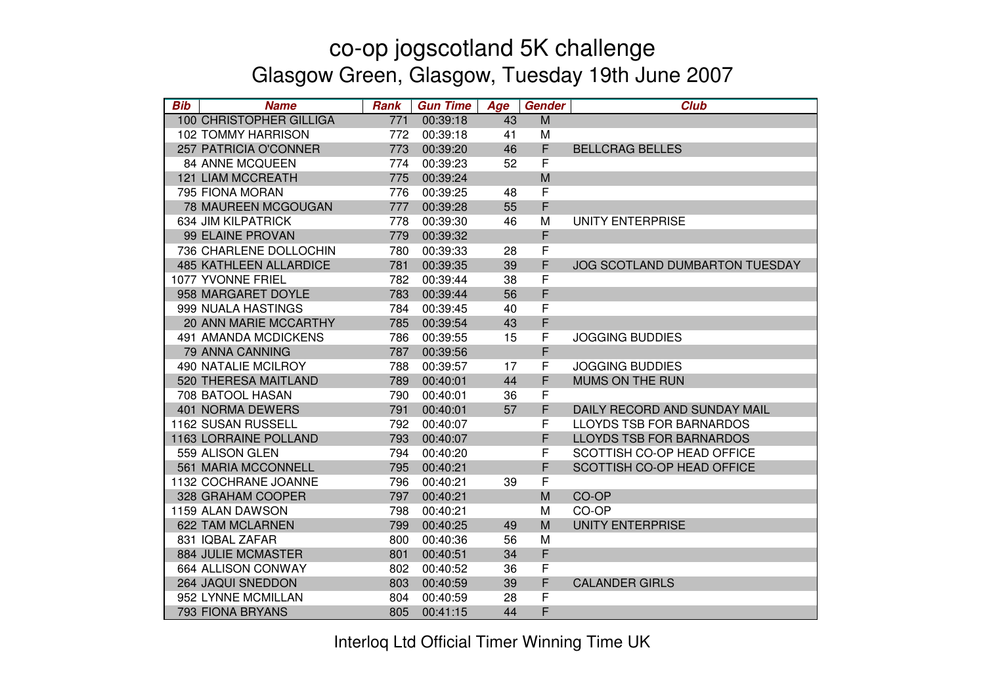| <b>Bib</b> | <b>Name</b>                   | <b>Rank</b> | <b>Gun Time</b> | Age | <b>Gender</b> | <b>Club</b>                     |
|------------|-------------------------------|-------------|-----------------|-----|---------------|---------------------------------|
|            | 100 CHRISTOPHER GILLIGA       | 771         | 00:39:18        | 43  | M             |                                 |
|            | <b>102 TOMMY HARRISON</b>     | 772         | 00:39:18        | 41  | M             |                                 |
|            | 257 PATRICIA O'CONNER         | 773         | 00:39:20        | 46  | F             | <b>BELLCRAG BELLES</b>          |
|            | <b>84 ANNE MCQUEEN</b>        | 774         | 00:39:23        | 52  | F             |                                 |
|            | <b>121 LIAM MCCREATH</b>      | 775         | 00:39:24        |     | M             |                                 |
|            | 795 FIONA MORAN               | 776         | 00:39:25        | 48  | F             |                                 |
|            | 78 MAUREEN MCGOUGAN           | 777         | 00:39:28        | 55  | F             |                                 |
|            | 634 JIM KILPATRICK            | 778         | 00:39:30        | 46  | M             | UNITY ENTERPRISE                |
|            | 99 ELAINE PROVAN              | 779         | 00:39:32        |     | F             |                                 |
|            | 736 CHARLENE DOLLOCHIN        | 780         | 00:39:33        | 28  | F             |                                 |
|            | <b>485 KATHLEEN ALLARDICE</b> | 781         | 00:39:35        | 39  | F             | JOG SCOTLAND DUMBARTON TUESDAY  |
|            | 1077 YVONNE FRIEL             | 782         | 00:39:44        | 38  | F             |                                 |
|            | 958 MARGARET DOYLE            | 783         | 00:39:44        | 56  | F             |                                 |
|            | 999 NUALA HASTINGS            | 784         | 00:39:45        | 40  | F             |                                 |
|            | 20 ANN MARIE MCCARTHY         | 785         | 00:39:54        | 43  | F             |                                 |
|            | <b>491 AMANDA MCDICKENS</b>   | 786         | 00:39:55        | 15  | F             | <b>JOGGING BUDDIES</b>          |
|            | 79 ANNA CANNING               | 787         | 00:39:56        |     | F             |                                 |
|            | <b>490 NATALIE MCILROY</b>    | 788         | 00:39:57        | 17  | F             | <b>JOGGING BUDDIES</b>          |
|            | 520 THERESA MAITLAND          | 789         | 00:40:01        | 44  | F             | MUMS ON THE RUN                 |
|            | 708 BATOOL HASAN              | 790         | 00:40:01        | 36  | F             |                                 |
|            | <b>401 NORMA DEWERS</b>       | 791         | 00:40:01        | 57  | F             | DAILY RECORD AND SUNDAY MAIL    |
|            | 1162 SUSAN RUSSELL            | 792         | 00:40:07        |     | F             | <b>LLOYDS TSB FOR BARNARDOS</b> |
|            | <b>1163 LORRAINE POLLAND</b>  | 793         | 00:40:07        |     | F             | <b>LLOYDS TSB FOR BARNARDOS</b> |
|            | 559 ALISON GLEN               | 794         | 00:40:20        |     | F             | SCOTTISH CO-OP HEAD OFFICE      |
|            | 561 MARIA MCCONNELL           | 795         | 00:40:21        |     | F             | SCOTTISH CO-OP HEAD OFFICE      |
|            | 1132 COCHRANE JOANNE          | 796         | 00:40:21        | 39  | F             |                                 |
|            | 328 GRAHAM COOPER             | 797         | 00:40:21        |     | M             | CO-OP                           |
|            | 1159 ALAN DAWSON              | 798         | 00:40:21        |     | M             | CO-OP                           |
|            | 622 TAM MCLARNEN              | 799         | 00:40:25        | 49  | M             | <b>UNITY ENTERPRISE</b>         |
|            | 831 IQBAL ZAFAR               | 800         | 00:40:36        | 56  | M             |                                 |
|            | 884 JULIE MCMASTER            | 801         | 00:40:51        | 34  | F             |                                 |
|            | 664 ALLISON CONWAY            | 802         | 00:40:52        | 36  | F             |                                 |
|            | 264 JAQUI SNEDDON             | 803         | 00:40:59        | 39  | F             | <b>CALANDER GIRLS</b>           |
|            | 952 LYNNE MCMILLAN            | 804         | 00:40:59        | 28  | F             |                                 |
|            | 793 FIONA BRYANS              | 805         | 00:41:15        | 44  | F             |                                 |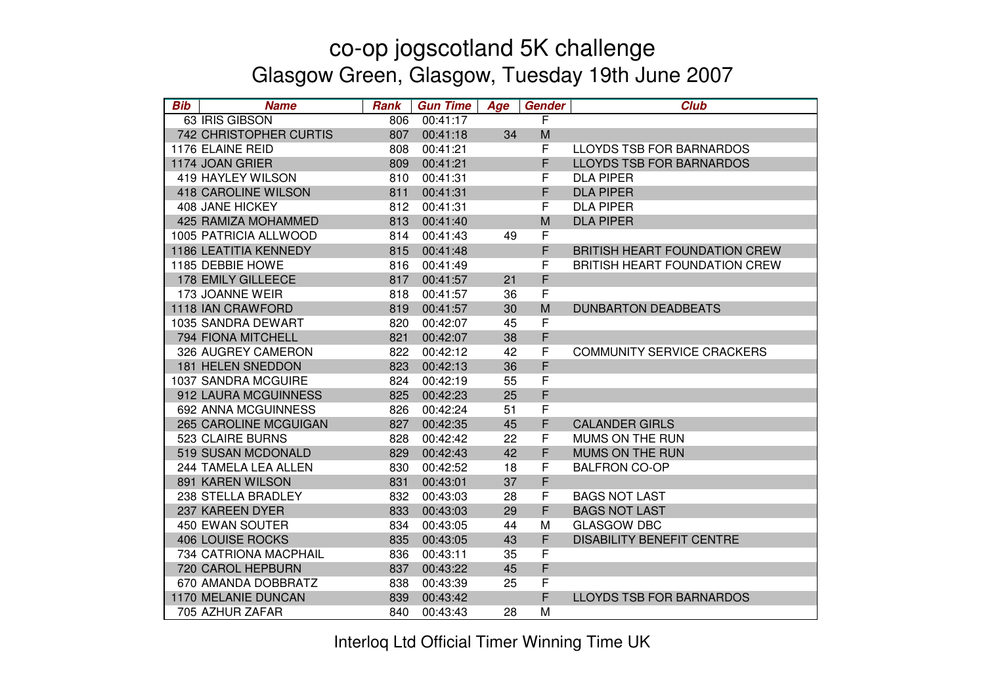| <b>Bib</b> | <b>Name</b>                   | <b>Rank</b> | <b>Gun Time</b> | Age | <b>Gender</b> | <b>Club</b>                          |
|------------|-------------------------------|-------------|-----------------|-----|---------------|--------------------------------------|
|            | 63 IRIS GIBSON                | 806         | 00:41:17        |     | F             |                                      |
|            | <b>742 CHRISTOPHER CURTIS</b> | 807         | 00:41:18        | 34  | M             |                                      |
|            | 1176 ELAINE REID              | 808         | 00:41:21        |     | F             | LLOYDS TSB FOR BARNARDOS             |
|            | 1174 JOAN GRIER               | 809         | 00:41:21        |     | F             | <b>LLOYDS TSB FOR BARNARDOS</b>      |
|            | <b>419 HAYLEY WILSON</b>      | 810         | 00:41:31        |     | F             | <b>DLA PIPER</b>                     |
|            | <b>418 CAROLINE WILSON</b>    | 811         | 00:41:31        |     | F             | <b>DLA PIPER</b>                     |
|            | 408 JANE HICKEY               | 812         | 00:41:31        |     | F             | <b>DLA PIPER</b>                     |
|            | 425 RAMIZA MOHAMMED           | 813         | 00:41:40        |     | M             | <b>DLA PIPER</b>                     |
|            | 1005 PATRICIA ALLWOOD         | 814         | 00:41:43        | 49  | F             |                                      |
|            | 1186 LEATITIA KENNEDY         | 815         | 00:41:48        |     | F             | <b>BRITISH HEART FOUNDATION CREW</b> |
|            | 1185 DEBBIE HOWE              | 816         | 00:41:49        |     | F             | <b>BRITISH HEART FOUNDATION CREW</b> |
|            | 178 EMILY GILLEECE            | 817         | 00:41:57        | 21  | F             |                                      |
|            | 173 JOANNE WEIR               | 818         | 00:41:57        | 36  | F             |                                      |
|            | 1118 IAN CRAWFORD             | 819         | 00:41:57        | 30  | M             | <b>DUNBARTON DEADBEATS</b>           |
|            | 1035 SANDRA DEWART            | 820         | 00:42:07        | 45  | F             |                                      |
|            | 794 FIONA MITCHELL            | 821         | 00:42:07        | 38  | F             |                                      |
|            | 326 AUGREY CAMERON            | 822         | 00:42:12        | 42  | F             | <b>COMMUNITY SERVICE CRACKERS</b>    |
|            | 181 HELEN SNEDDON             | 823         | 00:42:13        | 36  | F             |                                      |
|            | 1037 SANDRA MCGUIRE           | 824         | 00:42:19        | 55  | F             |                                      |
|            | 912 LAURA MCGUINNESS          | 825         | 00:42:23        | 25  | F             |                                      |
|            | 692 ANNA MCGUINNESS           | 826         | 00:42:24        | 51  | F             |                                      |
|            | 265 CAROLINE MCGUIGAN         | 827         | 00:42:35        | 45  | F             | <b>CALANDER GIRLS</b>                |
|            | 523 CLAIRE BURNS              | 828         | 00:42:42        | 22  | F             | MUMS ON THE RUN                      |
|            | 519 SUSAN MCDONALD            | 829         | 00:42:43        | 42  | F             | MUMS ON THE RUN                      |
|            | 244 TAMELA LEA ALLEN          | 830         | 00:42:52        | 18  | F             | <b>BALFRON CO-OP</b>                 |
|            | 891 KAREN WILSON              | 831         | 00:43:01        | 37  | F             |                                      |
|            | 238 STELLA BRADLEY            | 832         | 00:43:03        | 28  | F             | <b>BAGS NOT LAST</b>                 |
|            | 237 KAREEN DYER               | 833         | 00:43:03        | 29  | F             | <b>BAGS NOT LAST</b>                 |
|            | <b>450 EWAN SOUTER</b>        | 834         | 00:43:05        | 44  | M             | <b>GLASGOW DBC</b>                   |
|            | <b>406 LOUISE ROCKS</b>       | 835         | 00:43:05        | 43  | F             | <b>DISABILITY BENEFIT CENTRE</b>     |
|            | 734 CATRIONA MACPHAIL         | 836         | 00:43:11        | 35  | F             |                                      |
|            | 720 CAROL HEPBURN             | 837         | 00:43:22        | 45  | F             |                                      |
|            | 670 AMANDA DOBBRATZ           | 838         | 00:43:39        | 25  | F             |                                      |
|            | 1170 MELANIE DUNCAN           | 839         | 00:43:42        |     | F             | <b>LLOYDS TSB FOR BARNARDOS</b>      |
|            | 705 AZHUR ZAFAR               | 840         | 00:43:43        | 28  | M             |                                      |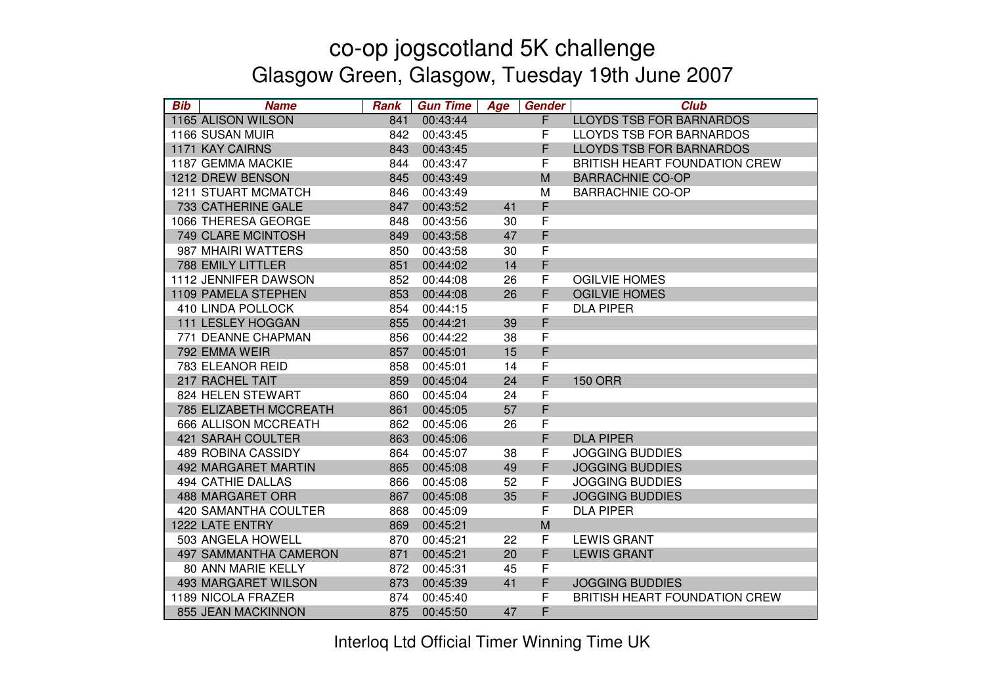| <b>Bib</b> | <b>Name</b>                  | <b>Rank</b> | <b>Gun Time</b> | Age | <b>Gender</b> | <b>Club</b>                          |
|------------|------------------------------|-------------|-----------------|-----|---------------|--------------------------------------|
|            | 1165 ALISON WILSON           | 841         | 00:43:44        |     | F             | <b>LLOYDS TSB FOR BARNARDOS</b>      |
|            | 1166 SUSAN MUIR              | 842         | 00:43:45        |     | F             | <b>LLOYDS TSB FOR BARNARDOS</b>      |
|            | <b>1171 KAY CAIRNS</b>       | 843         | 00:43:45        |     | F             | <b>LLOYDS TSB FOR BARNARDOS</b>      |
|            | 1187 GEMMA MACKIE            | 844         | 00:43:47        |     | F             | <b>BRITISH HEART FOUNDATION CREW</b> |
|            | 1212 DREW BENSON             | 845         | 00:43:49        |     | M             | <b>BARRACHNIE CO-OP</b>              |
|            | <b>1211 STUART MCMATCH</b>   | 846         | 00:43:49        |     | M             | <b>BARRACHNIE CO-OP</b>              |
|            | 733 CATHERINE GALE           | 847         | 00:43:52        | 41  | F             |                                      |
|            | 1066 THERESA GEORGE          | 848         | 00:43:56        | 30  | F             |                                      |
|            | 749 CLARE MCINTOSH           | 849         | 00:43:58        | 47  | F             |                                      |
|            | 987 MHAIRI WATTERS           | 850         | 00:43:58        | 30  | F             |                                      |
|            | <b>788 EMILY LITTLER</b>     | 851         | 00:44:02        | 14  | F             |                                      |
|            | 1112 JENNIFER DAWSON         | 852         | 00:44:08        | 26  | F             | <b>OGILVIE HOMES</b>                 |
|            | 1109 PAMELA STEPHEN          | 853         | 00:44:08        | 26  | F             | <b>OGILVIE HOMES</b>                 |
|            | 410 LINDA POLLOCK            | 854         | 00:44:15        |     | F             | <b>DLA PIPER</b>                     |
|            | 111 LESLEY HOGGAN            | 855         | 00:44:21        | 39  | F             |                                      |
|            | 771 DEANNE CHAPMAN           | 856         | 00:44:22        | 38  | F             |                                      |
|            | 792 EMMA WEIR                | 857         | 00:45:01        | 15  | F             |                                      |
|            | 783 ELEANOR REID             | 858         | 00:45:01        | 14  | F             |                                      |
|            | 217 RACHEL TAIT              | 859         | 00:45:04        | 24  | F             | <b>150 ORR</b>                       |
|            | 824 HELEN STEWART            | 860         | 00:45:04        | 24  | F             |                                      |
|            | 785 ELIZABETH MCCREATH       | 861         | 00:45:05        | 57  | F             |                                      |
|            | <b>666 ALLISON MCCREATH</b>  | 862         | 00:45:06        | 26  | F             |                                      |
|            | <b>421 SARAH COULTER</b>     | 863         | 00:45:06        |     | F             | <b>DLA PIPER</b>                     |
|            | 489 ROBINA CASSIDY           | 864         | 00:45:07        | 38  | F             | <b>JOGGING BUDDIES</b>               |
|            | 492 MARGARET MARTIN          | 865         | 00:45:08        | 49  | F             | <b>JOGGING BUDDIES</b>               |
|            | <b>494 CATHIE DALLAS</b>     | 866         | 00:45:08        | 52  | F             | <b>JOGGING BUDDIES</b>               |
|            | <b>488 MARGARET ORR</b>      | 867         | 00:45:08        | 35  | F             | <b>JOGGING BUDDIES</b>               |
|            | 420 SAMANTHA COULTER         | 868         | 00:45:09        |     | F             | <b>DLA PIPER</b>                     |
|            | 1222 LATE ENTRY              | 869         | 00:45:21        |     | M             |                                      |
|            | 503 ANGELA HOWELL            | 870         | 00:45:21        | 22  | F             | <b>LEWIS GRANT</b>                   |
|            | <b>497 SAMMANTHA CAMERON</b> | 871         | 00:45:21        | 20  | F             | <b>LEWIS GRANT</b>                   |
|            | <b>80 ANN MARIE KELLY</b>    | 872         | 00:45:31        | 45  | F             |                                      |
|            | 493 MARGARET WILSON          | 873         | 00:45:39        | 41  | F             | <b>JOGGING BUDDIES</b>               |
|            | 1189 NICOLA FRAZER           | 874         | 00:45:40        |     | F             | <b>BRITISH HEART FOUNDATION CREW</b> |
|            | 855 JEAN MACKINNON           | 875         | 00:45:50        | 47  | F             |                                      |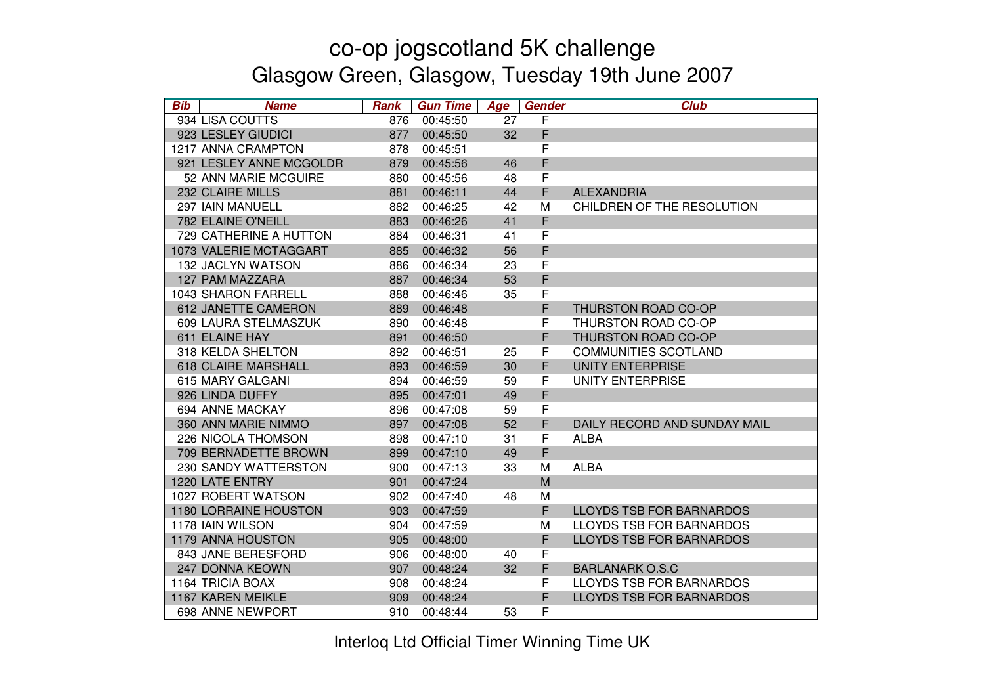| <b>Bib</b> | <b>Name</b>                  | <b>Rank</b> | <b>Gun Time</b> | Age | Gender | <b>Club</b>                     |
|------------|------------------------------|-------------|-----------------|-----|--------|---------------------------------|
|            | 934 LISA COUTTS              | 876         | 00:45:50        | 27  | F      |                                 |
|            | 923 LESLEY GIUDICI           | 877         | 00:45:50        | 32  | F      |                                 |
|            | 1217 ANNA CRAMPTON           | 878         | 00:45:51        |     | F      |                                 |
|            | 921 LESLEY ANNE MCGOLDR      | 879         | 00:45:56        | 46  | F      |                                 |
|            | 52 ANN MARIE MCGUIRE         | 880         | 00:45:56        | 48  | F      |                                 |
|            | 232 CLAIRE MILLS             | 881         | 00:46:11        | 44  | F      | <b>ALEXANDRIA</b>               |
|            | 297 IAIN MANUELL             | 882         | 00:46:25        | 42  | M      | CHILDREN OF THE RESOLUTION      |
|            | 782 ELAINE O'NEILL           | 883         | 00:46:26        | 41  | F      |                                 |
|            | 729 CATHERINE A HUTTON       | 884         | 00:46:31        | 41  | F      |                                 |
|            | 1073 VALERIE MCTAGGART       | 885         | 00:46:32        | 56  | F      |                                 |
|            | 132 JACLYN WATSON            | 886         | 00:46:34        | 23  | F      |                                 |
|            | 127 PAM MAZZARA              | 887         | 00:46:34        | 53  | F      |                                 |
|            | <b>1043 SHARON FARRELL</b>   | 888         | 00:46:46        | 35  | F      |                                 |
|            | 612 JANETTE CAMERON          | 889         | 00:46:48        |     | F      | THURSTON ROAD CO-OP             |
|            | 609 LAURA STELMASZUK         | 890         | 00:46:48        |     | F      | THURSTON ROAD CO-OP             |
|            | 611 ELAINE HAY               | 891         | 00:46:50        |     | F      | THURSTON ROAD CO-OP             |
|            | 318 KELDA SHELTON            | 892         | 00:46:51        | 25  | F      | <b>COMMUNITIES SCOTLAND</b>     |
|            | <b>618 CLAIRE MARSHALL</b>   | 893         | 00:46:59        | 30  | F      | <b>UNITY ENTERPRISE</b>         |
|            | 615 MARY GALGANI             | 894         | 00:46:59        | 59  | F      | <b>UNITY ENTERPRISE</b>         |
|            | 926 LINDA DUFFY              | 895         | 00:47:01        | 49  | F      |                                 |
|            | 694 ANNE MACKAY              | 896         | 00:47:08        | 59  | F      |                                 |
|            | 360 ANN MARIE NIMMO          | 897         | 00:47:08        | 52  | F      | DAILY RECORD AND SUNDAY MAIL    |
|            | 226 NICOLA THOMSON           | 898         | 00:47:10        | 31  | F      | <b>ALBA</b>                     |
|            | 709 BERNADETTE BROWN         | 899         | 00:47:10        | 49  | F      |                                 |
|            | 230 SANDY WATTERSTON         | 900         | 00:47:13        | 33  | M      | <b>ALBA</b>                     |
|            | 1220 LATE ENTRY              | 901         | 00:47:24        |     | M      |                                 |
|            | 1027 ROBERT WATSON           | 902         | 00:47:40        | 48  | М      |                                 |
|            | <b>1180 LORRAINE HOUSTON</b> | 903         | 00:47:59        |     | F      | <b>LLOYDS TSB FOR BARNARDOS</b> |
|            | 1178 IAIN WILSON             | 904         | 00:47:59        |     | M      | <b>LLOYDS TSB FOR BARNARDOS</b> |
|            | 1179 ANNA HOUSTON            | 905         | 00:48:00        |     | F      | <b>LLOYDS TSB FOR BARNARDOS</b> |
|            | 843 JANE BERESFORD           | 906         | 00:48:00        | 40  | F      |                                 |
|            | <b>247 DONNA KEOWN</b>       | 907         | 00:48:24        | 32  | F      | <b>BARLANARK O.S.C</b>          |
|            | 1164 TRICIA BOAX             | 908         | 00:48:24        |     | F      | LLOYDS TSB FOR BARNARDOS        |
|            | 1167 KAREN MEIKLE            | 909         | 00:48:24        |     | F      | <b>LLOYDS TSB FOR BARNARDOS</b> |
|            | 698 ANNE NEWPORT             | 910         | 00:48:44        | 53  | F      |                                 |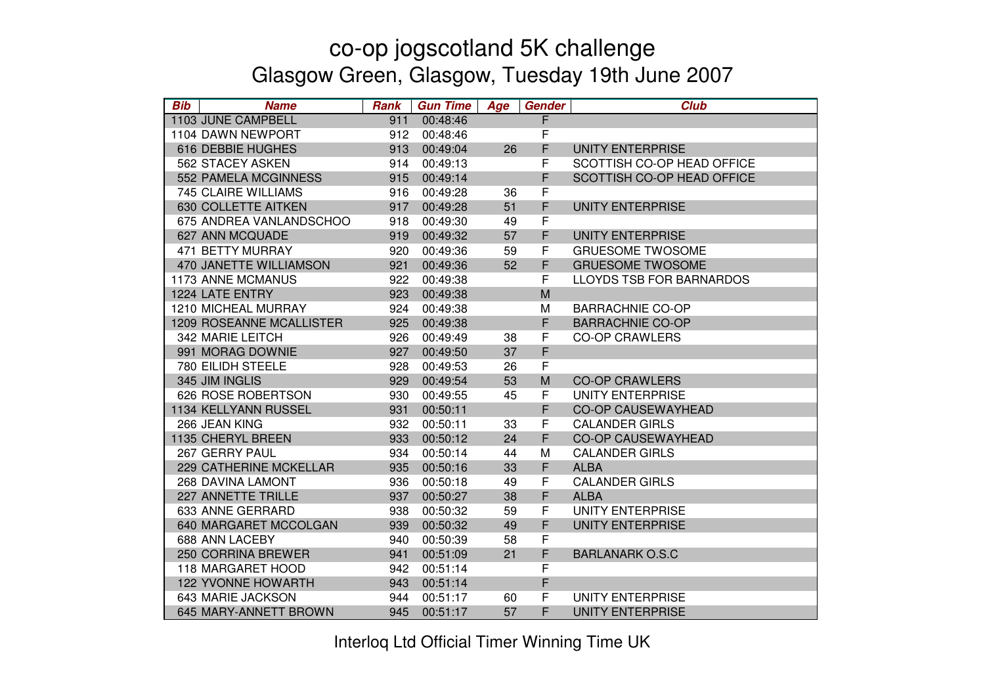| <b>Bib</b> | <b>Name</b>                | Rank | <b>Gun Time</b> | Age | <b>Gender</b> | <b>Club</b>                     |
|------------|----------------------------|------|-----------------|-----|---------------|---------------------------------|
|            | 1103 JUNE CAMPBELL         | 911  | 00:48:46        |     | F             |                                 |
|            | 1104 DAWN NEWPORT          | 912  | 00:48:46        |     | F             |                                 |
|            | 616 DEBBIE HUGHES          | 913  | 00:49:04        | 26  | F             | <b>UNITY ENTERPRISE</b>         |
|            | 562 STACEY ASKEN           | 914  | 00:49:13        |     | F             | SCOTTISH CO-OP HEAD OFFICE      |
|            | 552 PAMELA MCGINNESS       | 915  | 00:49:14        |     | F             | SCOTTISH CO-OP HEAD OFFICE      |
|            | <b>745 CLAIRE WILLIAMS</b> | 916  | 00:49:28        | 36  | F             |                                 |
|            | 630 COLLETTE AITKEN        | 917  | 00:49:28        | 51  | F             | <b>UNITY ENTERPRISE</b>         |
|            | 675 ANDREA VANLANDSCHOO    | 918  | 00:49:30        | 49  | F             |                                 |
|            | 627 ANN MCQUADE            | 919  | 00:49:32        | 57  | F             | <b>UNITY ENTERPRISE</b>         |
|            | 471 BETTY MURRAY           | 920  | 00:49:36        | 59  | F             | <b>GRUESOME TWOSOME</b>         |
|            | 470 JANETTE WILLIAMSON     | 921  | 00:49:36        | 52  | F             | <b>GRUESOME TWOSOME</b>         |
|            | <b>1173 ANNE MCMANUS</b>   | 922  | 00:49:38        |     | F             | <b>LLOYDS TSB FOR BARNARDOS</b> |
|            | 1224 LATE ENTRY            | 923  | 00:49:38        |     | M             |                                 |
|            | 1210 MICHEAL MURRAY        | 924  | 00:49:38        |     | M             | <b>BARRACHNIE CO-OP</b>         |
|            | 1209 ROSEANNE MCALLISTER   | 925  | 00:49:38        |     | F             | <b>BARRACHNIE CO-OP</b>         |
|            | 342 MARIE LEITCH           | 926  | 00:49:49        | 38  | F             | <b>CO-OP CRAWLERS</b>           |
|            | 991 MORAG DOWNIE           | 927  | 00:49:50        | 37  | F             |                                 |
|            | 780 EILIDH STEELE          | 928  | 00:49:53        | 26  | F             |                                 |
|            | 345 JIM INGLIS             | 929  | 00:49:54        | 53  | M             | <b>CO-OP CRAWLERS</b>           |
|            | 626 ROSE ROBERTSON         | 930  | 00:49:55        | 45  | F             | <b>UNITY ENTERPRISE</b>         |
|            | 1134 KELLYANN RUSSEL       | 931  | 00:50:11        |     | F             | <b>CO-OP CAUSEWAYHEAD</b>       |
|            | 266 JEAN KING              | 932  | 00:50:11        | 33  | F             | <b>CALANDER GIRLS</b>           |
|            | 1135 CHERYL BREEN          | 933  | 00:50:12        | 24  | F             | <b>CO-OP CAUSEWAYHEAD</b>       |
|            | 267 GERRY PAUL             | 934  | 00:50:14        | 44  | M             | <b>CALANDER GIRLS</b>           |
|            | 229 CATHERINE MCKELLAR     | 935  | 00:50:16        | 33  | F             | <b>ALBA</b>                     |
|            | 268 DAVINA LAMONT          | 936  | 00:50:18        | 49  | F             | <b>CALANDER GIRLS</b>           |
|            | 227 ANNETTE TRILLE         | 937  | 00:50:27        | 38  | F             | <b>ALBA</b>                     |
|            | 633 ANNE GERRARD           | 938  | 00:50:32        | 59  | F             | <b>UNITY ENTERPRISE</b>         |
|            | 640 MARGARET MCCOLGAN      | 939  | 00:50:32        | 49  | F             | <b>UNITY ENTERPRISE</b>         |
|            | 688 ANN LACEBY             | 940  | 00:50:39        | 58  | F             |                                 |
|            | 250 CORRINA BREWER         | 941  | 00:51:09        | 21  | F             | <b>BARLANARK O.S.C</b>          |
|            | 118 MARGARET HOOD          | 942  | 00:51:14        |     | F             |                                 |
|            | <b>122 YVONNE HOWARTH</b>  | 943  | 00:51:14        |     | F             |                                 |
|            | 643 MARIE JACKSON          | 944  | 00:51:17        | 60  | F             | <b>UNITY ENTERPRISE</b>         |
|            | 645 MARY-ANNETT BROWN      | 945  | 00:51:17        | 57  | F             | UNITY ENTERPRISE                |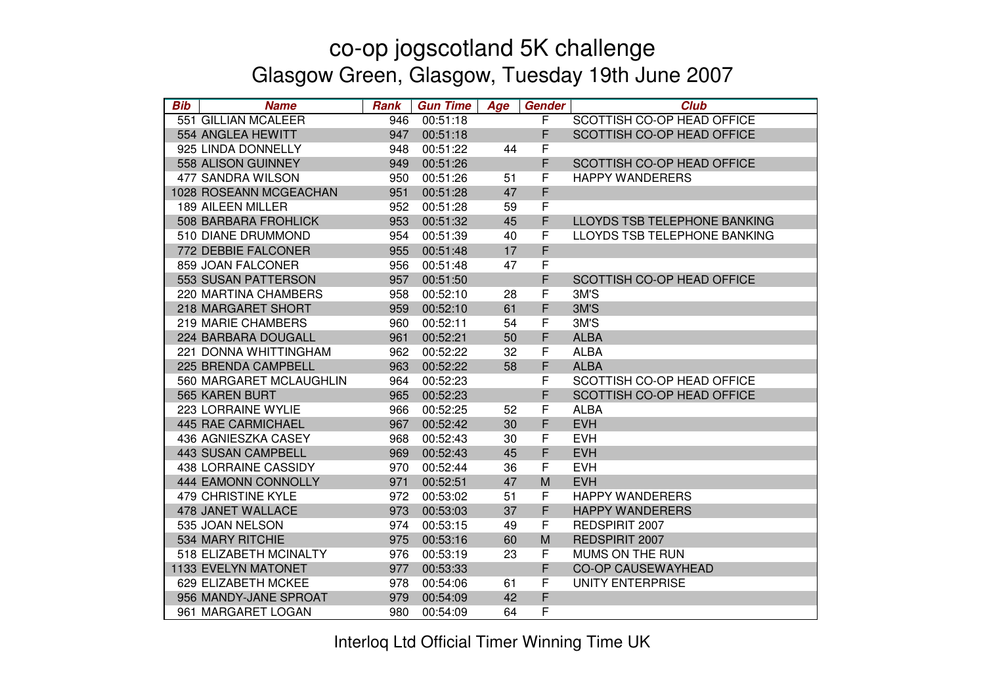| <b>Bib</b> | <b>Name</b>               | <b>Rank</b> | <b>Gun Time</b> | Age | <b>Gender</b> | <b>Club</b>                  |
|------------|---------------------------|-------------|-----------------|-----|---------------|------------------------------|
|            | 551 GILLIAN MCALEER       | 946         | 00:51:18        |     | F             | SCOTTISH CO-OP HEAD OFFICE   |
|            | 554 ANGLEA HEWITT         | 947         | 00:51:18        |     | F             | SCOTTISH CO-OP HEAD OFFICE   |
|            | 925 LINDA DONNELLY        | 948         | 00:51:22        | 44  | F             |                              |
|            | 558 ALISON GUINNEY        | 949         | 00:51:26        |     | F             | SCOTTISH CO-OP HEAD OFFICE   |
|            | 477 SANDRA WILSON         | 950         | 00:51:26        | 51  | F             | <b>HAPPY WANDERERS</b>       |
|            | 1028 ROSEANN MCGEACHAN    | 951         | 00:51:28        | 47  | F             |                              |
|            | 189 AILEEN MILLER         | 952         | 00:51:28        | 59  | $\mathsf F$   |                              |
|            | 508 BARBARA FROHLICK      | 953         | 00:51:32        | 45  | F             | LLOYDS TSB TELEPHONE BANKING |
|            | 510 DIANE DRUMMOND        | 954         | 00:51:39        | 40  | F             | LLOYDS TSB TELEPHONE BANKING |
|            | 772 DEBBIE FALCONER       | 955         | 00:51:48        | 17  | F             |                              |
|            | 859 JOAN FALCONER         | 956         | 00:51:48        | 47  | F             |                              |
|            | 553 SUSAN PATTERSON       | 957         | 00:51:50        |     | F             | SCOTTISH CO-OP HEAD OFFICE   |
|            | 220 MARTINA CHAMBERS      | 958         | 00:52:10        | 28  | F             | 3M'S                         |
|            | 218 MARGARET SHORT        | 959         | 00:52:10        | 61  | F             | 3M'S                         |
|            | 219 MARIE CHAMBERS        | 960         | 00:52:11        | 54  | F             | 3M'S                         |
|            | 224 BARBARA DOUGALL       | 961         | 00:52:21        | 50  | F             | <b>ALBA</b>                  |
|            | 221 DONNA WHITTINGHAM     | 962         | 00:52:22        | 32  | F             | <b>ALBA</b>                  |
|            | 225 BRENDA CAMPBELL       | 963         | 00:52:22        | 58  | F             | <b>ALBA</b>                  |
|            | 560 MARGARET MCLAUGHLIN   | 964         | 00:52:23        |     | F             | SCOTTISH CO-OP HEAD OFFICE   |
|            | <b>565 KAREN BURT</b>     | 965         | 00:52:23        |     | F             | SCOTTISH CO-OP HEAD OFFICE   |
|            | 223 LORRAINE WYLIE        | 966         | 00:52:25        | 52  | $\mathsf F$   | <b>ALBA</b>                  |
|            | <b>445 RAE CARMICHAEL</b> | 967         | 00:52:42        | 30  | $\mathsf F$   | <b>EVH</b>                   |
|            | 436 AGNIESZKA CASEY       | 968         | 00:52:43        | 30  | F             | <b>EVH</b>                   |
|            | <b>443 SUSAN CAMPBELL</b> | 969         | 00:52:43        | 45  | F             | <b>EVH</b>                   |
|            | 438 LORRAINE CASSIDY      | 970         | 00:52:44        | 36  | F             | <b>EVH</b>                   |
|            | 444 EAMONN CONNOLLY       | 971         | 00:52:51        | 47  | M             | <b>EVH</b>                   |
|            | <b>479 CHRISTINE KYLE</b> | 972         | 00:53:02        | 51  | F             | <b>HAPPY WANDERERS</b>       |
|            | 478 JANET WALLACE         | 973         | 00:53:03        | 37  | F             | <b>HAPPY WANDERERS</b>       |
|            | 535 JOAN NELSON           | 974         | 00:53:15        | 49  | F             | REDSPIRIT 2007               |
|            | 534 MARY RITCHIE          | 975         | 00:53:16        | 60  | M             | REDSPIRIT 2007               |
|            | 518 ELIZABETH MCINALTY    | 976         | 00:53:19        | 23  | F             | MUMS ON THE RUN              |
|            | 1133 EVELYN MATONET       | 977         | 00:53:33        |     | F             | <b>CO-OP CAUSEWAYHEAD</b>    |
|            | 629 ELIZABETH MCKEE       | 978         | 00:54:06        | 61  | F             | <b>UNITY ENTERPRISE</b>      |
|            | 956 MANDY-JANE SPROAT     | 979         | 00:54:09        | 42  | F             |                              |
|            | 961 MARGARET LOGAN        | 980         | 00:54:09        | 64  | F             |                              |